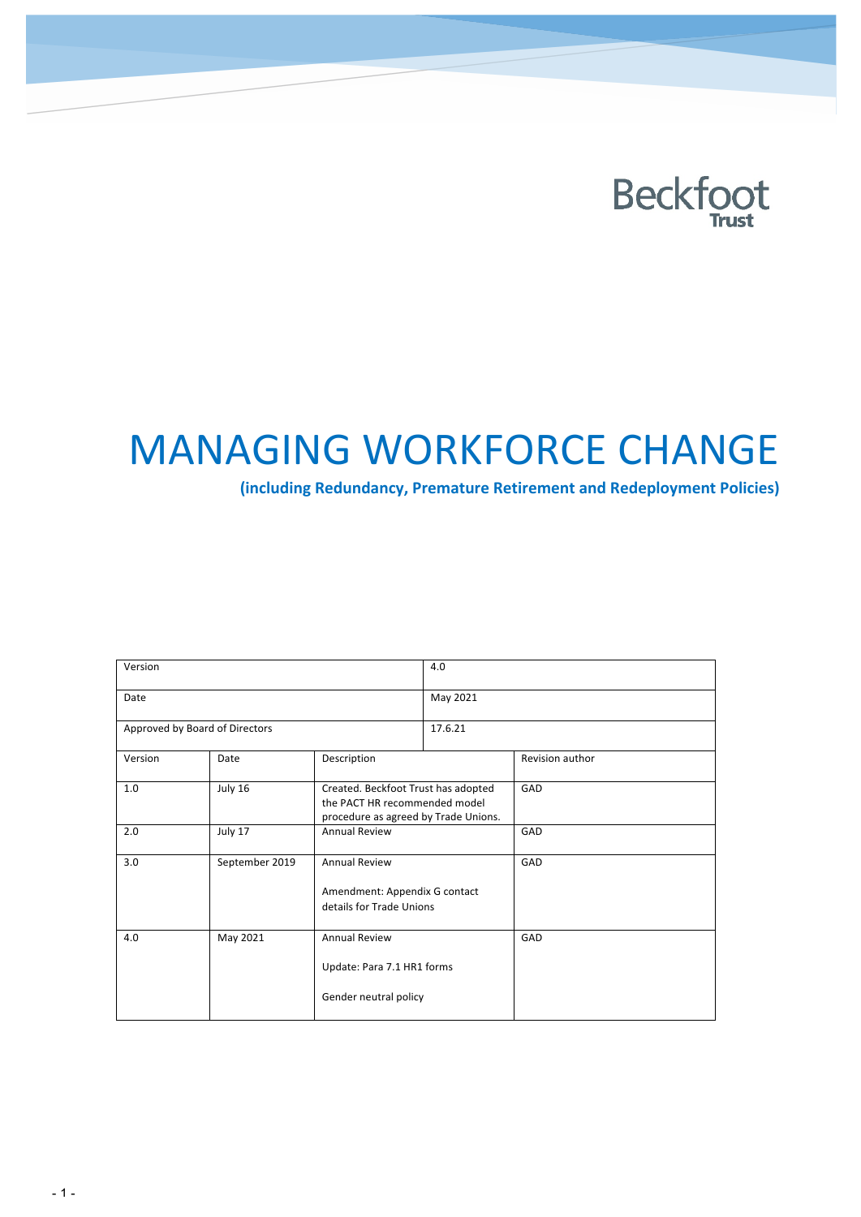

# **MANAGING WORKFORCE CHANGE**

**(including Redundancy, Premature Retirement and Redeployment Policies)**

| Version                        |                |                                                                                                              | 4.0      |                 |  |  |  |  |
|--------------------------------|----------------|--------------------------------------------------------------------------------------------------------------|----------|-----------------|--|--|--|--|
| Date                           |                |                                                                                                              | May 2021 |                 |  |  |  |  |
| Approved by Board of Directors |                |                                                                                                              | 17.6.21  |                 |  |  |  |  |
| Version                        | Date           | Description                                                                                                  |          | Revision author |  |  |  |  |
| 1.0                            | July 16        | Created. Beckfoot Trust has adopted<br>the PACT HR recommended model<br>procedure as agreed by Trade Unions. |          | GAD             |  |  |  |  |
| 2.0                            | July 17        | <b>Annual Review</b>                                                                                         |          | GAD             |  |  |  |  |
| 3.0                            | September 2019 | <b>Annual Review</b><br>Amendment: Appendix G contact<br>details for Trade Unions                            |          | GAD             |  |  |  |  |
| 4.0                            | May 2021       | <b>Annual Review</b><br>Update: Para 7.1 HR1 forms<br>Gender neutral policy                                  |          | GAD             |  |  |  |  |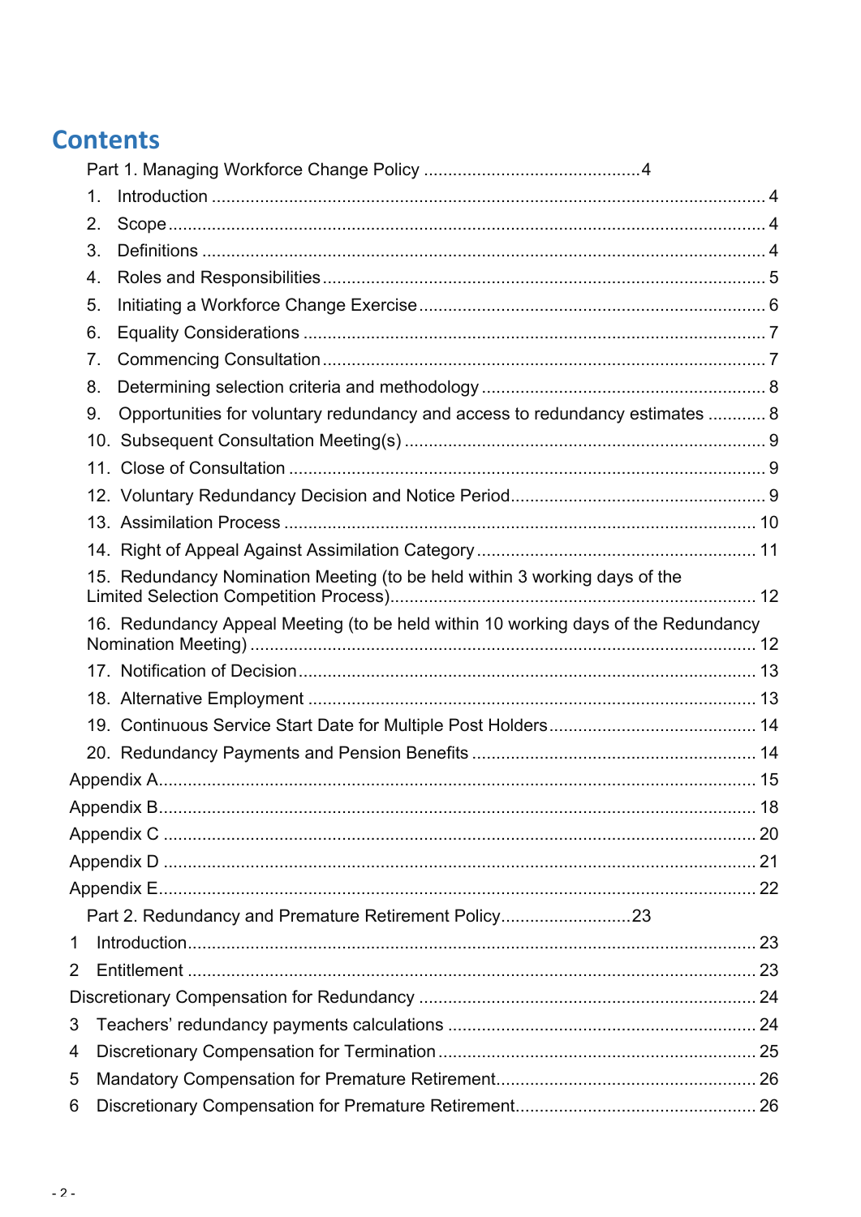## **Contents**

| 1. |                                                                                    |  |
|----|------------------------------------------------------------------------------------|--|
| 2. |                                                                                    |  |
| 3. |                                                                                    |  |
| 4. |                                                                                    |  |
| 5. |                                                                                    |  |
| 6. |                                                                                    |  |
| 7. |                                                                                    |  |
| 8. |                                                                                    |  |
| 9. | Opportunities for voluntary redundancy and access to redundancy estimates  8       |  |
|    |                                                                                    |  |
|    |                                                                                    |  |
|    |                                                                                    |  |
|    |                                                                                    |  |
|    |                                                                                    |  |
|    | 15. Redundancy Nomination Meeting (to be held within 3 working days of the         |  |
|    | 16. Redundancy Appeal Meeting (to be held within 10 working days of the Redundancy |  |
|    |                                                                                    |  |
|    |                                                                                    |  |
|    |                                                                                    |  |
|    |                                                                                    |  |
|    |                                                                                    |  |
|    |                                                                                    |  |
|    |                                                                                    |  |
|    |                                                                                    |  |
|    |                                                                                    |  |
|    | Part 2. Redundancy and Premature Retirement Policy23                               |  |
| 1  |                                                                                    |  |
| 2  |                                                                                    |  |
|    |                                                                                    |  |
| 3  |                                                                                    |  |
| 4  |                                                                                    |  |
| 5  |                                                                                    |  |
| 6  |                                                                                    |  |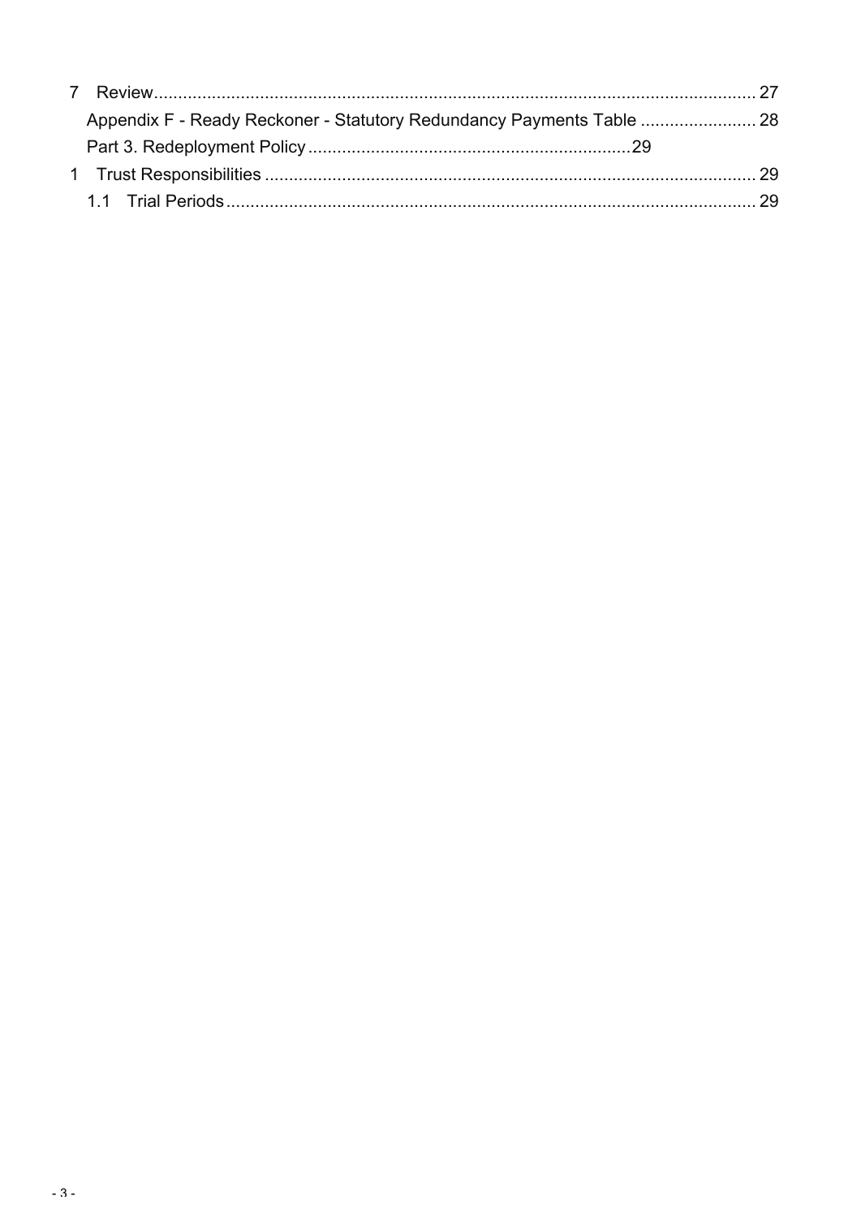| Appendix F - Ready Reckoner - Statutory Redundancy Payments Table  28 |  |
|-----------------------------------------------------------------------|--|
|                                                                       |  |
|                                                                       |  |
|                                                                       |  |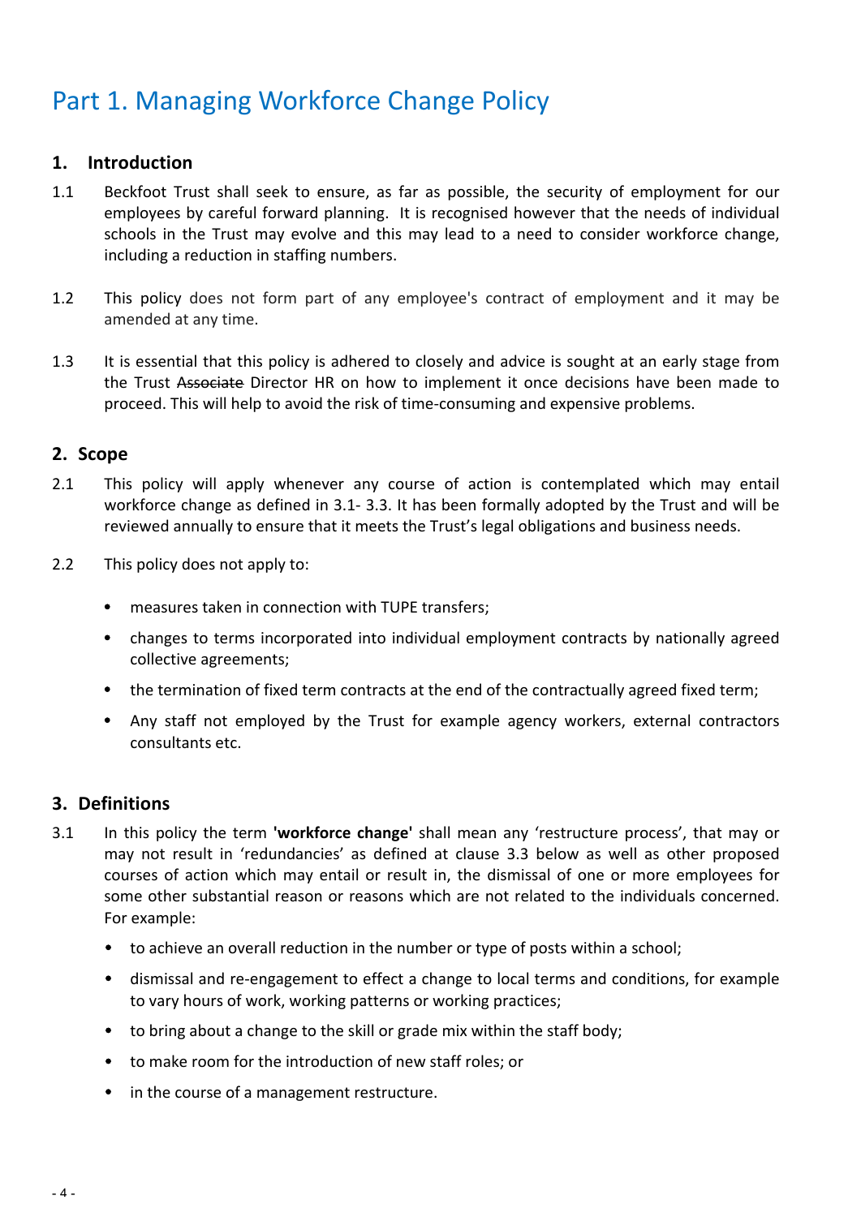## Part 1. Managing Workforce Change Policy

#### **1. Introduction**

- 1.1 Beckfoot Trust shall seek to ensure, as far as possible, the security of employment for our employees by careful forward planning. It is recognised however that the needs of individual schools in the Trust may evolve and this may lead to a need to consider workforce change. including a reduction in staffing numbers.
- 1.2 This policy does not form part of any employee's contract of employment and it may be amended at any time.
- 1.3 It is essential that this policy is adhered to closely and advice is sought at an early stage from the Trust Associate Director HR on how to implement it once decisions have been made to proceed. This will help to avoid the risk of time-consuming and expensive problems.

#### **2. Scope**

- 2.1 This policy will apply whenever any course of action is contemplated which may entail workforce change as defined in 3.1- 3.3. It has been formally adopted by the Trust and will be reviewed annually to ensure that it meets the Trust's legal obligations and business needs.
- 2.2 This policy does not apply to:
	- measures taken in connection with TUPE transfers;
	- changes to terms incorporated into individual employment contracts by nationally agreed collective agreements;
	- the termination of fixed term contracts at the end of the contractually agreed fixed term;
	- Any staff not employed by the Trust for example agency workers, external contractors consultants etc.

#### **3. Definitions**

- 3.1 In this policy the term **'workforce change'** shall mean any 'restructure process', that may or may not result in 'redundancies' as defined at clause 3.3 below as well as other proposed courses of action which may entail or result in, the dismissal of one or more employees for some other substantial reason or reasons which are not related to the individuals concerned. For example:
	- to achieve an overall reduction in the number or type of posts within a school;
	- dismissal and re-engagement to effect a change to local terms and conditions, for example to vary hours of work, working patterns or working practices;
	- to bring about a change to the skill or grade mix within the staff body;
	- to make room for the introduction of new staff roles; or
	- in the course of a management restructure.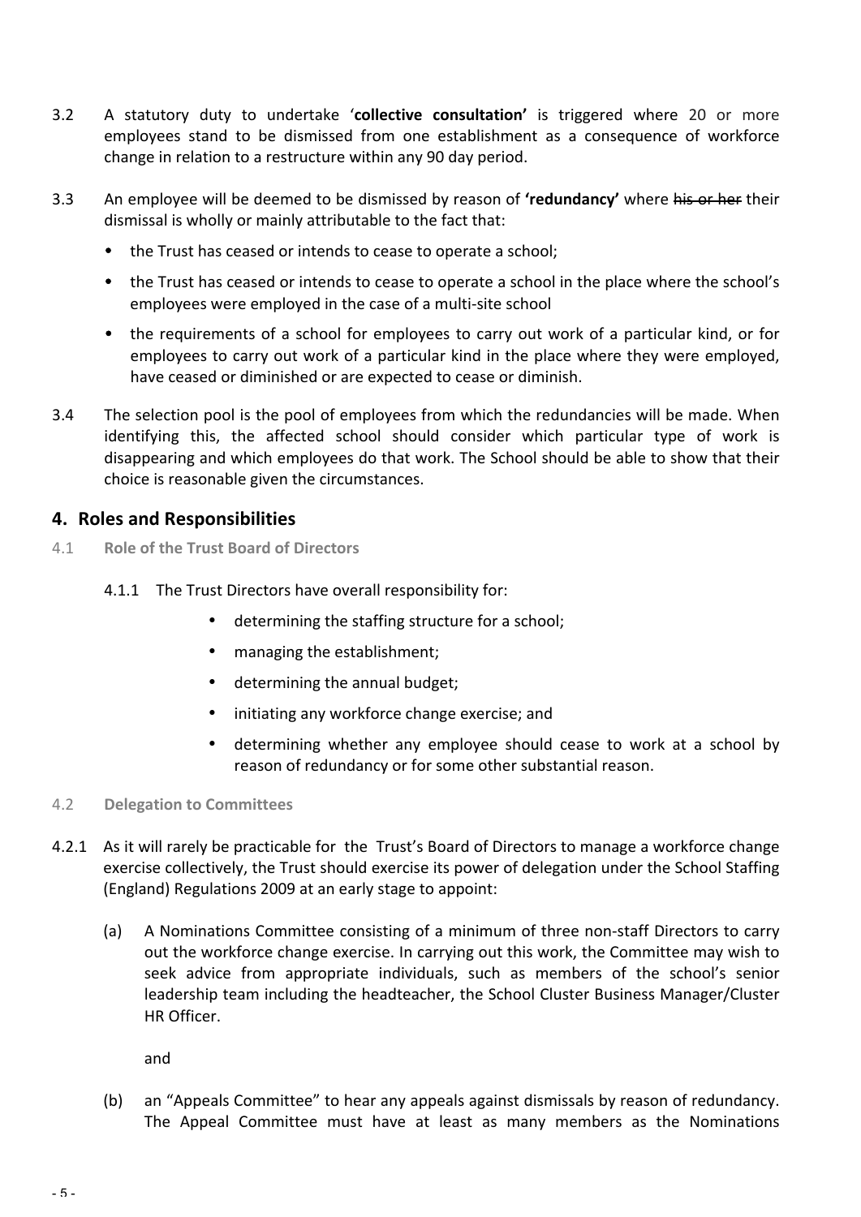- 3.2 A statutory duty to undertake 'collective consultation' is triggered where 20 or more employees stand to be dismissed from one establishment as a consequence of workforce change in relation to a restructure within any 90 day period.
- 3.3 An employee will be deemed to be dismissed by reason of **'redundancy'** where his or her their dismissal is wholly or mainly attributable to the fact that:
	- the Trust has ceased or intends to cease to operate a school;
	- the Trust has ceased or intends to cease to operate a school in the place where the school's employees were employed in the case of a multi-site school
	- the requirements of a school for employees to carry out work of a particular kind, or for employees to carry out work of a particular kind in the place where they were employed, have ceased or diminished or are expected to cease or diminish.
- 3.4 The selection pool is the pool of employees from which the redundancies will be made. When identifying this, the affected school should consider which particular type of work is disappearing and which employees do that work. The School should be able to show that their choice is reasonable given the circumstances.

#### **4. Roles and Responsibilities**

- 4.1 **Role of the Trust Board of Directors**
	- 4.1.1 The Trust Directors have overall responsibility for:
		- determining the staffing structure for a school;
		- managing the establishment;
		- determining the annual budget;
		- initiating any workforce change exercise; and
		- determining whether any employee should cease to work at a school by reason of redundancy or for some other substantial reason.
- 4.2 **Delegation to Committees**
- 4.2.1 As it will rarely be practicable for the Trust's Board of Directors to manage a workforce change exercise collectively, the Trust should exercise its power of delegation under the School Staffing (England) Regulations 2009 at an early stage to appoint:
	- (a) A Nominations Committee consisting of a minimum of three non-staff Directors to carry out the workforce change exercise. In carrying out this work, the Committee may wish to seek advice from appropriate individuals, such as members of the school's senior leadership team including the headteacher, the School Cluster Business Manager/Cluster HR Officer.

and

(b) an "Appeals Committee" to hear any appeals against dismissals by reason of redundancy. The Appeal Committee must have at least as many members as the Nominations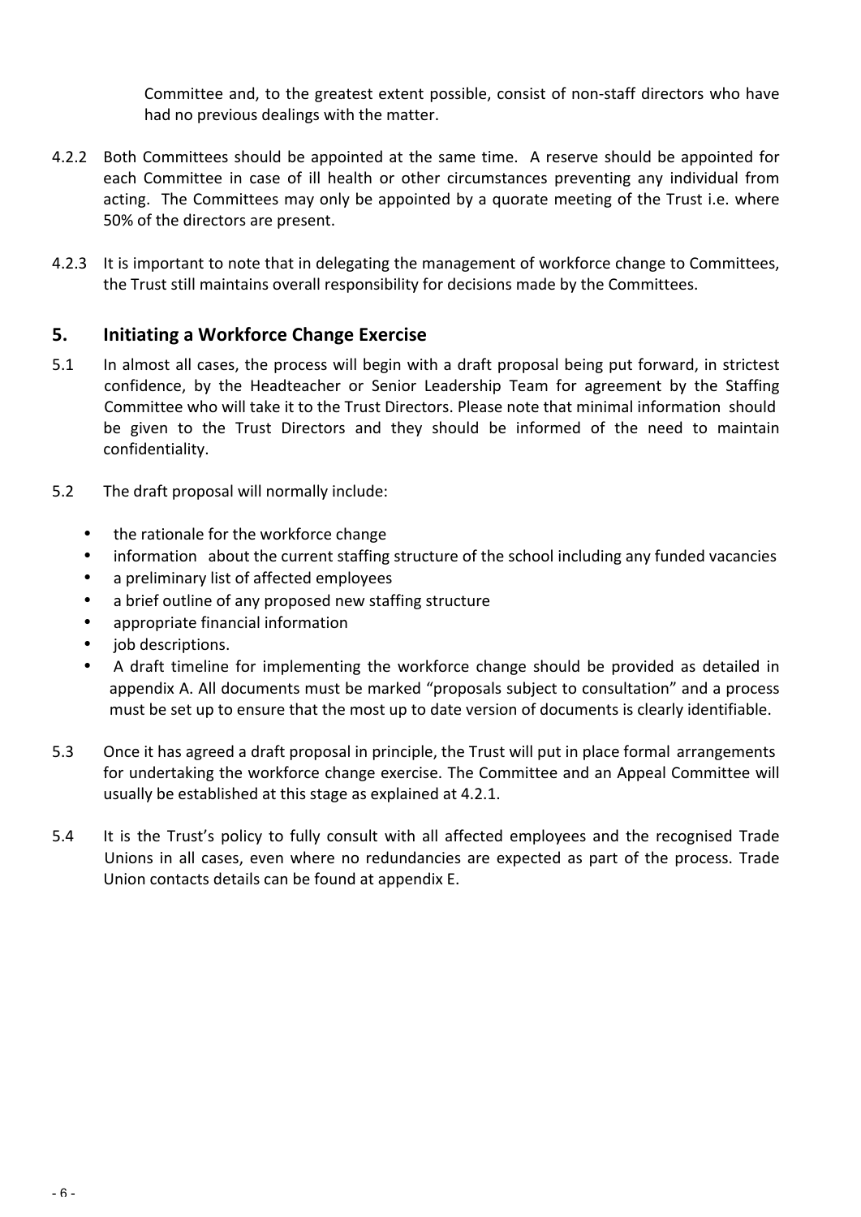Committee and, to the greatest extent possible, consist of non-staff directors who have had no previous dealings with the matter.

- 4.2.2 Both Committees should be appointed at the same time. A reserve should be appointed for each Committee in case of ill health or other circumstances preventing any individual from acting. The Committees may only be appointed by a quorate meeting of the Trust i.e. where 50% of the directors are present.
- 4.2.3 It is important to note that in delegating the management of workforce change to Committees, the Trust still maintains overall responsibility for decisions made by the Committees.

#### **5.** Initiating a Workforce Change Exercise

- 5.1 In almost all cases, the process will begin with a draft proposal being put forward, in strictest confidence, by the Headteacher or Senior Leadership Team for agreement by the Staffing Committee who will take it to the Trust Directors. Please note that minimal information should be given to the Trust Directors and they should be informed of the need to maintain confidentiality.
- 5.2 The draft proposal will normally include:
	- the rationale for the workforce change
	- information about the current staffing structure of the school including any funded vacancies
	- a preliminary list of affected employees
	- a brief outline of any proposed new staffing structure
	- appropriate financial information
	- job descriptions.
	- A draft timeline for implementing the workforce change should be provided as detailed in appendix A. All documents must be marked "proposals subject to consultation" and a process must be set up to ensure that the most up to date version of documents is clearly identifiable.
- 5.3 Once it has agreed a draft proposal in principle, the Trust will put in place formal arrangements for undertaking the workforce change exercise. The Committee and an Appeal Committee will usually be established at this stage as explained at 4.2.1.
- 5.4 It is the Trust's policy to fully consult with all affected employees and the recognised Trade Unions in all cases, even where no redundancies are expected as part of the process. Trade Union contacts details can be found at appendix E.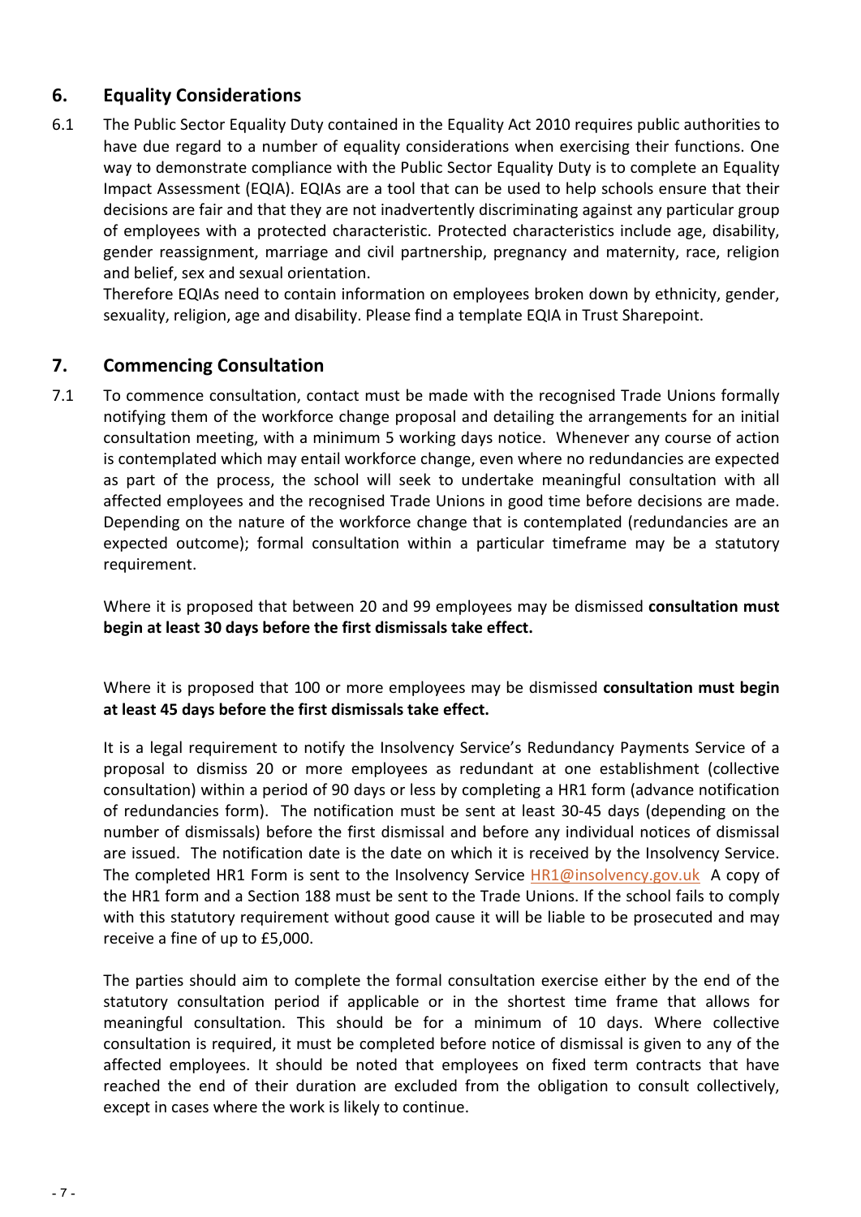#### **6. Equality Considerations**

6.1 The Public Sector Equality Duty contained in the Equality Act 2010 requires public authorities to have due regard to a number of equality considerations when exercising their functions. One way to demonstrate compliance with the Public Sector Equality Duty is to complete an Equality Impact Assessment (EQIA). EQIAs are a tool that can be used to help schools ensure that their decisions are fair and that they are not inadvertently discriminating against any particular group of employees with a protected characteristic. Protected characteristics include age, disability, gender reassignment, marriage and civil partnership, pregnancy and maternity, race, religion and belief, sex and sexual orientation.

Therefore EQIAs need to contain information on employees broken down by ethnicity, gender, sexuality, religion, age and disability. Please find a template EQIA in Trust Sharepoint.

#### **7. Commencing Consultation**

7.1 To commence consultation, contact must be made with the recognised Trade Unions formally notifying them of the workforce change proposal and detailing the arrangements for an initial consultation meeting, with a minimum 5 working days notice. Whenever any course of action is contemplated which may entail workforce change, even where no redundancies are expected as part of the process, the school will seek to undertake meaningful consultation with all affected employees and the recognised Trade Unions in good time before decisions are made. Depending on the nature of the workforce change that is contemplated (redundancies are an expected outcome); formal consultation within a particular timeframe may be a statutory requirement.

Where it is proposed that between 20 and 99 employees may be dismissed **consultation must begin at least 30 days before the first dismissals take effect.** 

Where it is proposed that 100 or more employees may be dismissed **consultation must begin** at least 45 days before the first dismissals take effect.

It is a legal requirement to notify the Insolvency Service's Redundancy Payments Service of a proposal to dismiss 20 or more employees as redundant at one establishment (collective consultation) within a period of 90 days or less by completing a HR1 form (advance notification of redundancies form). The notification must be sent at least 30-45 days (depending on the number of dismissals) before the first dismissal and before any individual notices of dismissal are issued. The notification date is the date on which it is received by the Insolvency Service. The completed HR1 Form is sent to the Insolvency Service  $HR1@$ insolvency.gov.uk A copy of the HR1 form and a Section 188 must be sent to the Trade Unions. If the school fails to comply with this statutory requirement without good cause it will be liable to be prosecuted and may receive a fine of up to £5,000.

The parties should aim to complete the formal consultation exercise either by the end of the statutory consultation period if applicable or in the shortest time frame that allows for meaningful consultation. This should be for a minimum of 10 days. Where collective consultation is required, it must be completed before notice of dismissal is given to any of the affected employees. It should be noted that employees on fixed term contracts that have reached the end of their duration are excluded from the obligation to consult collectively, except in cases where the work is likely to continue.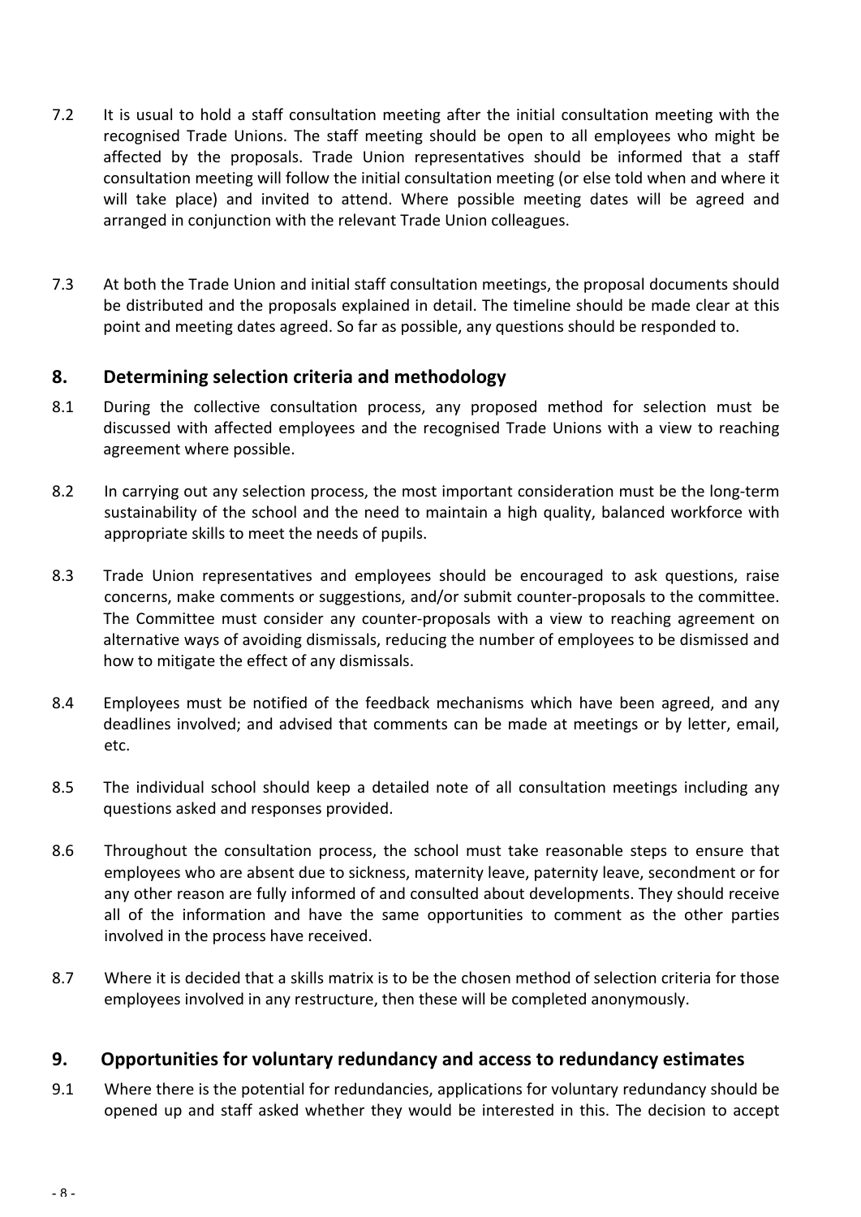- 7.2 It is usual to hold a staff consultation meeting after the initial consultation meeting with the recognised Trade Unions. The staff meeting should be open to all employees who might be affected by the proposals. Trade Union representatives should be informed that a staff consultation meeting will follow the initial consultation meeting (or else told when and where it will take place) and invited to attend. Where possible meeting dates will be agreed and arranged in conjunction with the relevant Trade Union colleagues.
- 7.3 At both the Trade Union and initial staff consultation meetings, the proposal documents should be distributed and the proposals explained in detail. The timeline should be made clear at this point and meeting dates agreed. So far as possible, any questions should be responded to.

#### **8. Determining selection criteria and methodology**

- 8.1 During the collective consultation process, any proposed method for selection must be discussed with affected employees and the recognised Trade Unions with a view to reaching agreement where possible.
- 8.2 In carrying out any selection process, the most important consideration must be the long-term sustainability of the school and the need to maintain a high quality, balanced workforce with appropriate skills to meet the needs of pupils.
- 8.3 Trade Union representatives and employees should be encouraged to ask questions, raise concerns, make comments or suggestions, and/or submit counter-proposals to the committee. The Committee must consider any counter-proposals with a view to reaching agreement on alternative ways of avoiding dismissals, reducing the number of employees to be dismissed and how to mitigate the effect of any dismissals.
- 8.4 Employees must be notified of the feedback mechanisms which have been agreed, and any deadlines involved; and advised that comments can be made at meetings or by letter, email, etc.
- 8.5 The individual school should keep a detailed note of all consultation meetings including any questions asked and responses provided.
- 8.6 Throughout the consultation process, the school must take reasonable steps to ensure that employees who are absent due to sickness, maternity leave, paternity leave, secondment or for any other reason are fully informed of and consulted about developments. They should receive all of the information and have the same opportunities to comment as the other parties involved in the process have received.
- 8.7 Where it is decided that a skills matrix is to be the chosen method of selection criteria for those employees involved in any restructure, then these will be completed anonymously.

#### **9.** Opportunities for voluntary redundancy and access to redundancy estimates

9.1 Where there is the potential for redundancies, applications for voluntary redundancy should be opened up and staff asked whether they would be interested in this. The decision to accept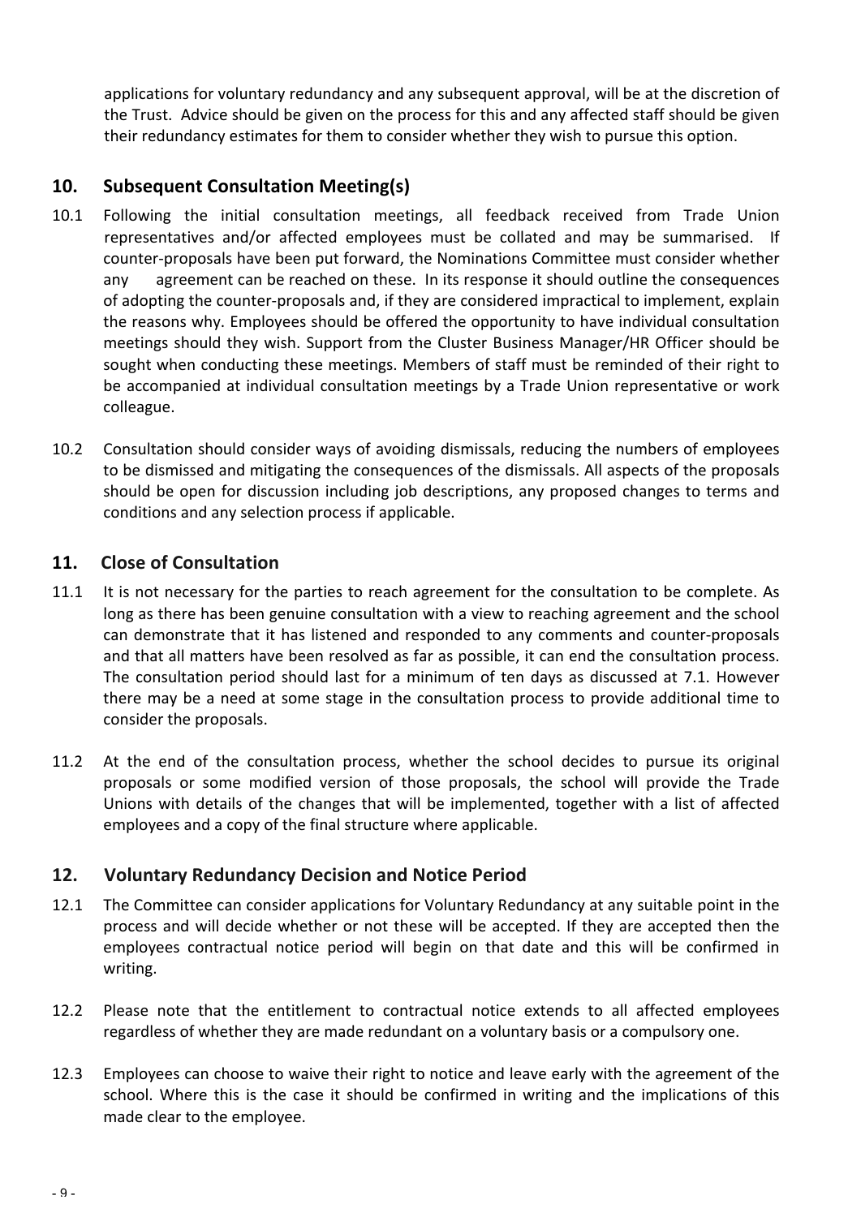applications for voluntary redundancy and any subsequent approval, will be at the discretion of the Trust. Advice should be given on the process for this and any affected staff should be given their redundancy estimates for them to consider whether they wish to pursue this option.

#### **10. Subsequent Consultation Meeting(s)**

- 10.1 Following the initial consultation meetings, all feedback received from Trade Union representatives and/or affected employees must be collated and may be summarised. If counter-proposals have been put forward, the Nominations Committee must consider whether any agreement can be reached on these. In its response it should outline the consequences of adopting the counter-proposals and, if they are considered impractical to implement, explain the reasons why. Employees should be offered the opportunity to have individual consultation meetings should they wish. Support from the Cluster Business Manager/HR Officer should be sought when conducting these meetings. Members of staff must be reminded of their right to be accompanied at individual consultation meetings by a Trade Union representative or work colleague.
- 10.2 Consultation should consider ways of avoiding dismissals, reducing the numbers of employees to be dismissed and mitigating the consequences of the dismissals. All aspects of the proposals should be open for discussion including job descriptions, any proposed changes to terms and conditions and any selection process if applicable.

#### **11.** Close of Consultation

- 11.1 It is not necessary for the parties to reach agreement for the consultation to be complete. As long as there has been genuine consultation with a view to reaching agreement and the school can demonstrate that it has listened and responded to any comments and counter-proposals and that all matters have been resolved as far as possible, it can end the consultation process. The consultation period should last for a minimum of ten days as discussed at 7.1. However there may be a need at some stage in the consultation process to provide additional time to consider the proposals.
- 11.2 At the end of the consultation process, whether the school decides to pursue its original proposals or some modified version of those proposals, the school will provide the Trade Unions with details of the changes that will be implemented, together with a list of affected employees and a copy of the final structure where applicable.

#### **12. Voluntary Redundancy Decision and Notice Period**

- 12.1 The Committee can consider applications for Voluntary Redundancy at any suitable point in the process and will decide whether or not these will be accepted. If they are accepted then the employees contractual notice period will begin on that date and this will be confirmed in writing.
- 12.2 Please note that the entitlement to contractual notice extends to all affected employees regardless of whether they are made redundant on a voluntary basis or a compulsory one.
- 12.3 Employees can choose to waive their right to notice and leave early with the agreement of the school. Where this is the case it should be confirmed in writing and the implications of this made clear to the employee.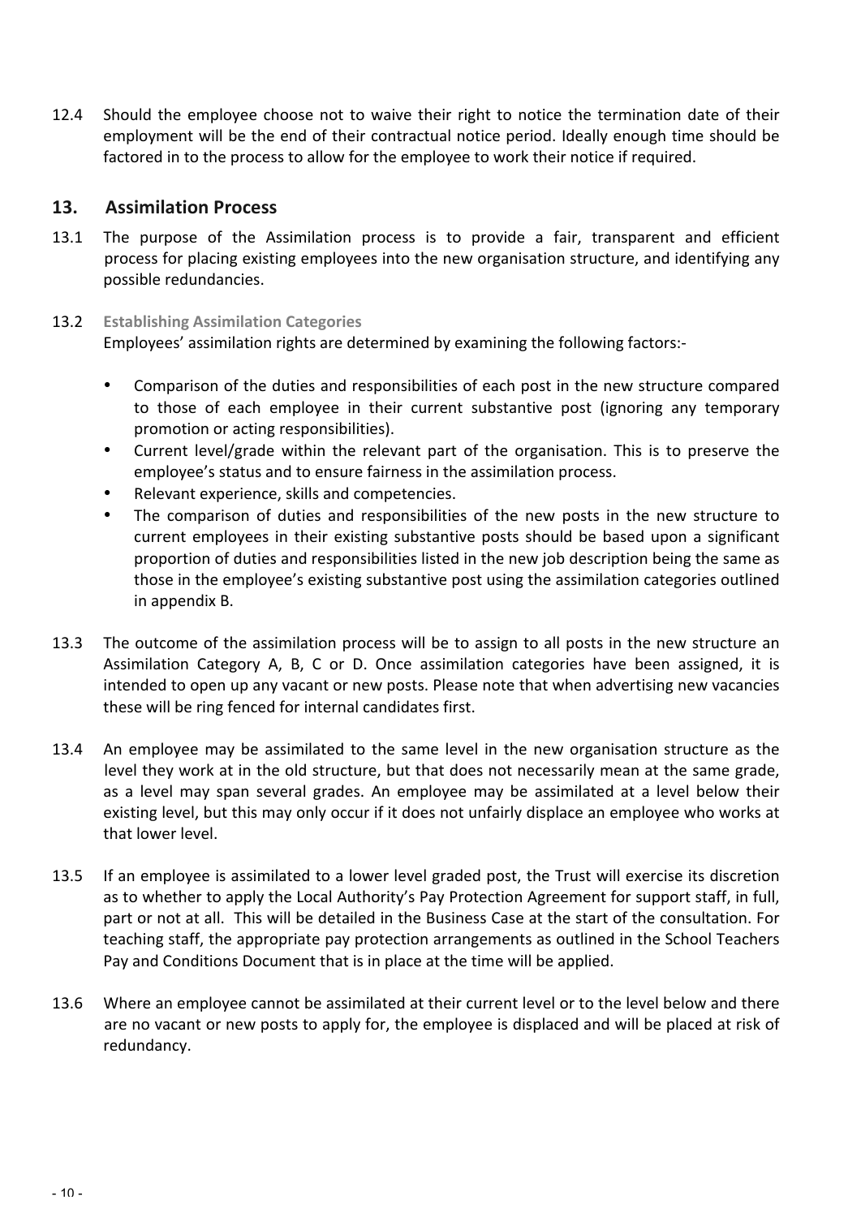12.4 Should the employee choose not to waive their right to notice the termination date of their employment will be the end of their contractual notice period. Ideally enough time should be factored in to the process to allow for the employee to work their notice if required.

#### **13. Assimilation Process**

13.1 The purpose of the Assimilation process is to provide a fair, transparent and efficient process for placing existing employees into the new organisation structure, and identifying any possible redundancies.

#### 13.2 **Establishing Assimilation Categories**

Employees' assimilation rights are determined by examining the following factors:-

- Comparison of the duties and responsibilities of each post in the new structure compared to those of each employee in their current substantive post (ignoring any temporary promotion or acting responsibilities).
- Current level/grade within the relevant part of the organisation. This is to preserve the employee's status and to ensure fairness in the assimilation process.
- Relevant experience, skills and competencies.
- The comparison of duties and responsibilities of the new posts in the new structure to current employees in their existing substantive posts should be based upon a significant proportion of duties and responsibilities listed in the new job description being the same as those in the employee's existing substantive post using the assimilation categories outlined in appendix B.
- 13.3 The outcome of the assimilation process will be to assign to all posts in the new structure an Assimilation Category A, B, C or D. Once assimilation categories have been assigned, it is intended to open up any vacant or new posts. Please note that when advertising new vacancies these will be ring fenced for internal candidates first.
- 13.4 An employee may be assimilated to the same level in the new organisation structure as the level they work at in the old structure, but that does not necessarily mean at the same grade, as a level may span several grades. An employee may be assimilated at a level below their existing level, but this may only occur if it does not unfairly displace an employee who works at that lower level.
- 13.5 If an employee is assimilated to a lower level graded post, the Trust will exercise its discretion as to whether to apply the Local Authority's Pay Protection Agreement for support staff, in full, part or not at all. This will be detailed in the Business Case at the start of the consultation. For teaching staff, the appropriate pay protection arrangements as outlined in the School Teachers Pay and Conditions Document that is in place at the time will be applied.
- 13.6 Where an employee cannot be assimilated at their current level or to the level below and there are no vacant or new posts to apply for, the employee is displaced and will be placed at risk of redundancy.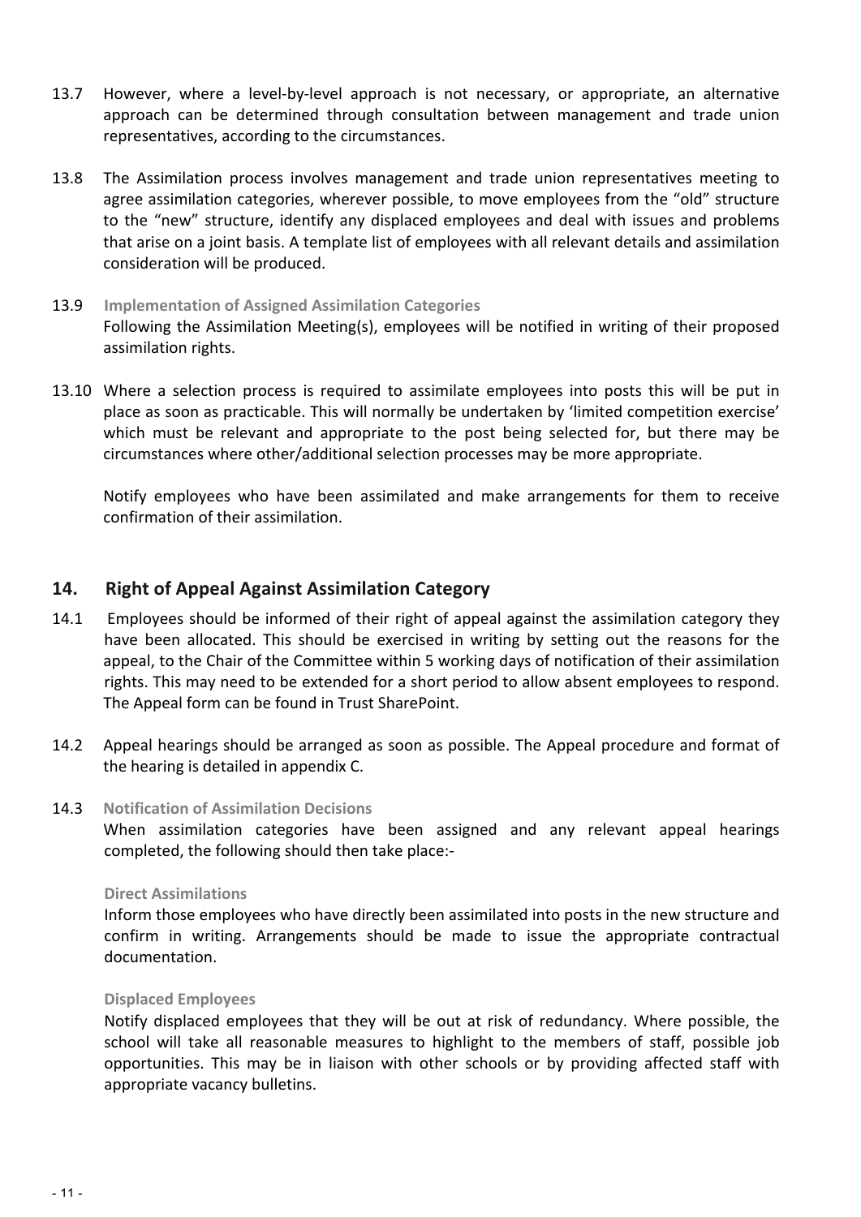- 13.7 However, where a level-by-level approach is not necessary, or appropriate, an alternative approach can be determined through consultation between management and trade union representatives, according to the circumstances.
- 13.8 The Assimilation process involves management and trade union representatives meeting to agree assimilation categories, wherever possible, to move employees from the "old" structure to the "new" structure, identify any displaced employees and deal with issues and problems that arise on a joint basis. A template list of employees with all relevant details and assimilation consideration will be produced.
- 13.9 **Implementation of Assigned Assimilation Categories** Following the Assimilation Meeting(s), employees will be notified in writing of their proposed assimilation rights.
- 13.10 Where a selection process is required to assimilate employees into posts this will be put in place as soon as practicable. This will normally be undertaken by 'limited competition exercise' which must be relevant and appropriate to the post being selected for, but there may be circumstances where other/additional selection processes may be more appropriate.

Notify employees who have been assimilated and make arrangements for them to receive confirmation of their assimilation.

#### **14.** Right of Appeal Against Assimilation Category

- 14.1 Employees should be informed of their right of appeal against the assimilation category they have been allocated. This should be exercised in writing by setting out the reasons for the appeal, to the Chair of the Committee within 5 working days of notification of their assimilation rights. This may need to be extended for a short period to allow absent employees to respond. The Appeal form can be found in Trust SharePoint.
- 14.2 Appeal hearings should be arranged as soon as possible. The Appeal procedure and format of the hearing is detailed in appendix C.

#### 14.3 Notification of Assimilation Decisions

When assimilation categories have been assigned and any relevant appeal hearings completed, the following should then take place:-

#### **Direct Assimilations**

Inform those employees who have directly been assimilated into posts in the new structure and confirm in writing. Arrangements should be made to issue the appropriate contractual documentation.

#### **Displaced Employees**

Notify displaced employees that they will be out at risk of redundancy. Where possible, the school will take all reasonable measures to highlight to the members of staff, possible job opportunities. This may be in liaison with other schools or by providing affected staff with appropriate vacancy bulletins.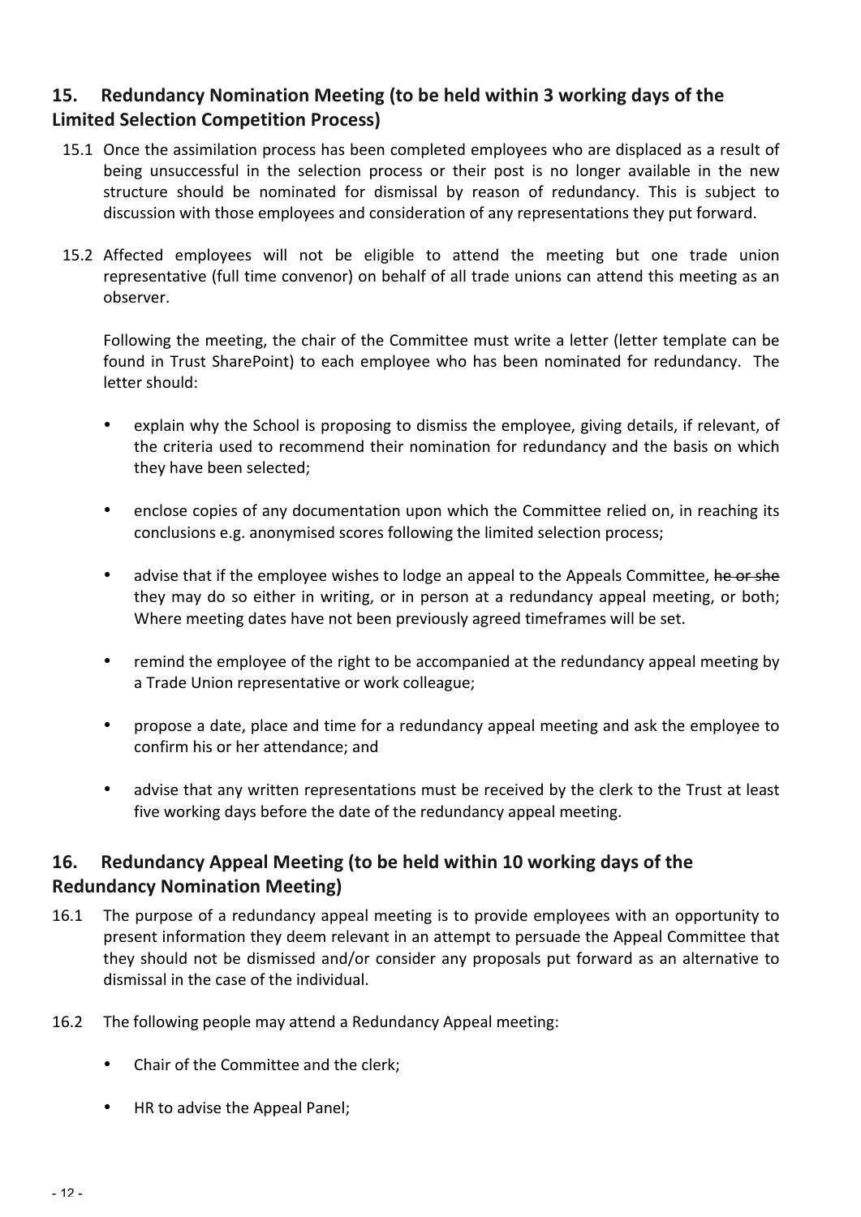## **15.** Redundancy Nomination Meeting (to be held within 3 working days of the **Limited Selection Competition Process)**

- 15.1 Once the assimilation process has been completed employees who are displaced as a result of being unsuccessful in the selection process or their post is no longer available in the new structure should be nominated for dismissal by reason of redundancy. This is subject to discussion with those employees and consideration of any representations they put forward.
- 15.2 Affected employees will not be eligible to attend the meeting but one trade union representative (full time convenor) on behalf of all trade unions can attend this meeting as an observer.

Following the meeting, the chair of the Committee must write a letter (letter template can be found in Trust SharePoint) to each employee who has been nominated for redundancy. The letter should:

- explain why the School is proposing to dismiss the employee, giving details, if relevant, of the criteria used to recommend their nomination for redundancy and the basis on which they have been selected;
- enclose copies of any documentation upon which the Committee relied on, in reaching its conclusions e.g. anonymised scores following the limited selection process;
- advise that if the employee wishes to lodge an appeal to the Appeals Committee, he or she they may do so either in writing, or in person at a redundancy appeal meeting, or both; Where meeting dates have not been previously agreed timeframes will be set.
- remind the employee of the right to be accompanied at the redundancy appeal meeting by a Trade Union representative or work colleague;
- propose a date, place and time for a redundancy appeal meeting and ask the employee to confirm his or her attendance; and
- advise that any written representations must be received by the clerk to the Trust at least five working days before the date of the redundancy appeal meeting.

### **16.** Redundancy Appeal Meeting (to be held within 10 working days of the **Redundancy Nomination Meeting)**

- 16.1 The purpose of a redundancy appeal meeting is to provide employees with an opportunity to present information they deem relevant in an attempt to persuade the Appeal Committee that they should not be dismissed and/or consider any proposals put forward as an alternative to dismissal in the case of the individual.
- 16.2 The following people may attend a Redundancy Appeal meeting:
	- Chair of the Committee and the clerk;
	- HR to advise the Appeal Panel;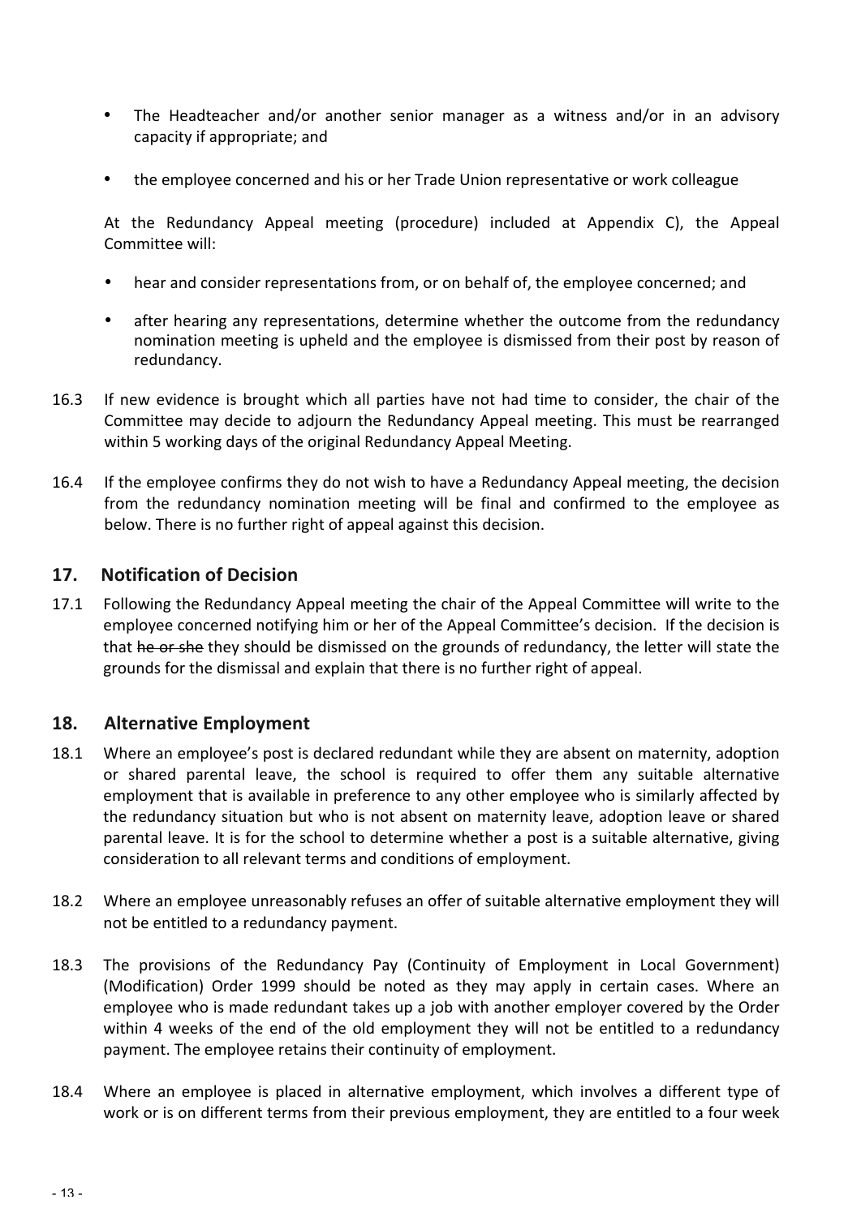- The Headteacher and/or another senior manager as a witness and/or in an advisory capacity if appropriate; and
- the employee concerned and his or her Trade Union representative or work colleague

At the Redundancy Appeal meeting (procedure) included at Appendix C), the Appeal Committee will:

- hear and consider representations from, or on behalf of, the employee concerned; and
- after hearing any representations, determine whether the outcome from the redundancy nomination meeting is upheld and the employee is dismissed from their post by reason of redundancy.
- 16.3 If new evidence is brought which all parties have not had time to consider, the chair of the Committee may decide to adjourn the Redundancy Appeal meeting. This must be rearranged within 5 working days of the original Redundancy Appeal Meeting.
- 16.4 If the employee confirms they do not wish to have a Redundancy Appeal meeting, the decision from the redundancy nomination meeting will be final and confirmed to the employee as below. There is no further right of appeal against this decision.

#### **17.** Notification of Decision

17.1 Following the Redundancy Appeal meeting the chair of the Appeal Committee will write to the employee concerned notifying him or her of the Appeal Committee's decision. If the decision is that he or she they should be dismissed on the grounds of redundancy, the letter will state the grounds for the dismissal and explain that there is no further right of appeal.

#### **18.** Alternative Employment

- 18.1 Where an employee's post is declared redundant while they are absent on maternity, adoption or shared parental leave, the school is required to offer them any suitable alternative employment that is available in preference to any other employee who is similarly affected by the redundancy situation but who is not absent on maternity leave, adoption leave or shared parental leave. It is for the school to determine whether a post is a suitable alternative, giving consideration to all relevant terms and conditions of employment.
- 18.2 Where an employee unreasonably refuses an offer of suitable alternative employment they will not be entitled to a redundancy payment.
- 18.3 The provisions of the Redundancy Pay (Continuity of Employment in Local Government) (Modification) Order 1999 should be noted as they may apply in certain cases. Where an employee who is made redundant takes up a job with another employer covered by the Order within 4 weeks of the end of the old employment they will not be entitled to a redundancy payment. The employee retains their continuity of employment.
- 18.4 Where an employee is placed in alternative employment, which involves a different type of work or is on different terms from their previous employment, they are entitled to a four week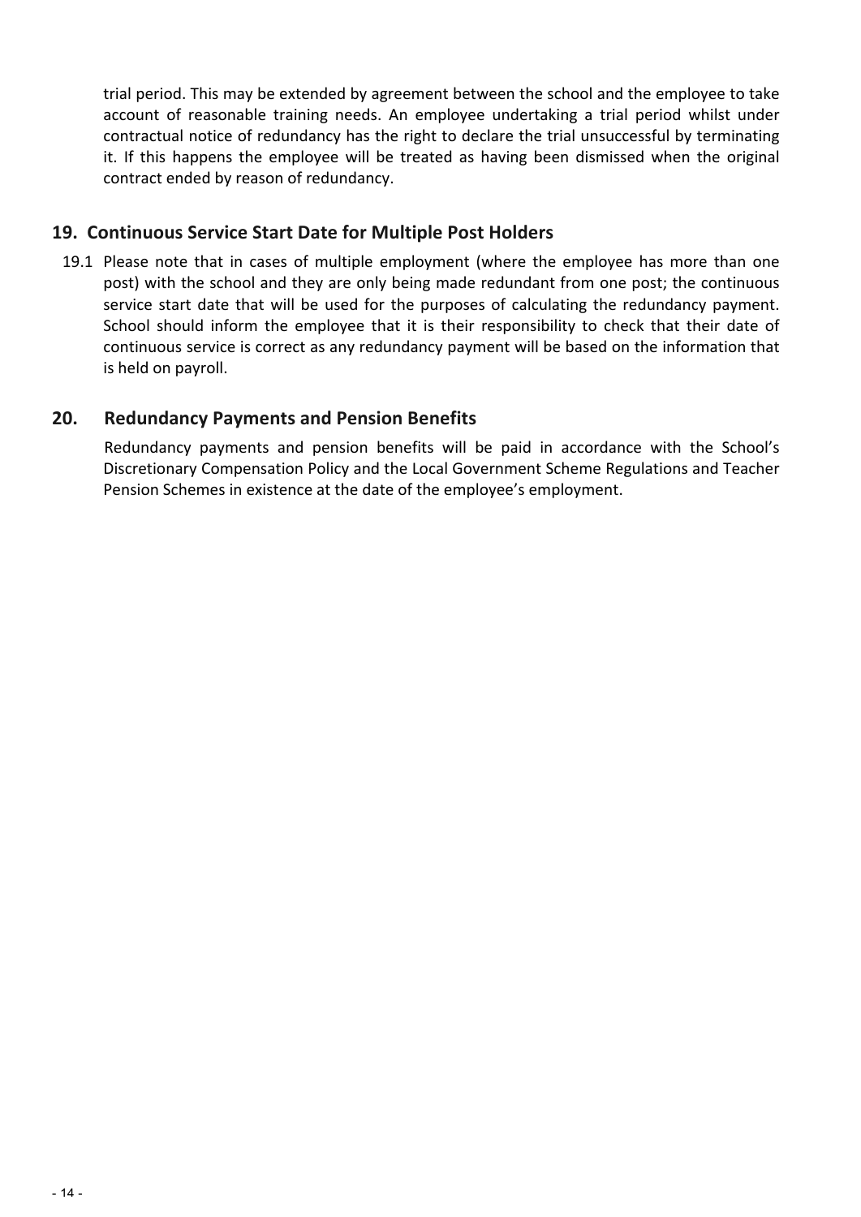trial period. This may be extended by agreement between the school and the employee to take account of reasonable training needs. An employee undertaking a trial period whilst under contractual notice of redundancy has the right to declare the trial unsuccessful by terminating it. If this happens the employee will be treated as having been dismissed when the original contract ended by reason of redundancy.

#### **19. Continuous Service Start Date for Multiple Post Holders**

19.1 Please note that in cases of multiple employment (where the employee has more than one post) with the school and they are only being made redundant from one post; the continuous service start date that will be used for the purposes of calculating the redundancy payment. School should inform the employee that it is their responsibility to check that their date of continuous service is correct as any redundancy payment will be based on the information that is held on payroll.

#### **20. Redundancy Payments and Pension Benefits**

Redundancy payments and pension benefits will be paid in accordance with the School's Discretionary Compensation Policy and the Local Government Scheme Regulations and Teacher Pension Schemes in existence at the date of the employee's employment.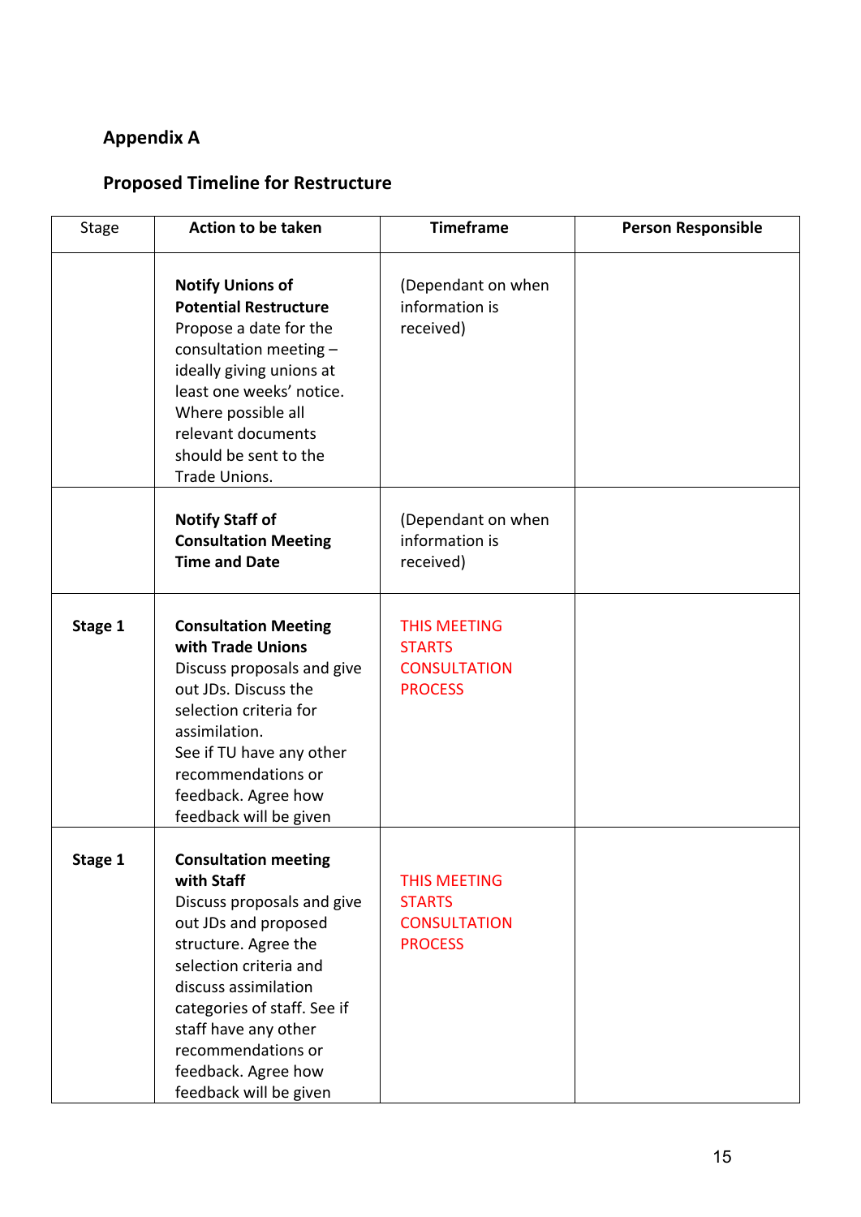## **Appendix A**

## **Proposed Timeline for Restructure**

| <b>Stage</b> | <b>Action to be taken</b>                                                                                                                                                                                                                                                                               | <b>Timeframe</b>                                                              | <b>Person Responsible</b> |
|--------------|---------------------------------------------------------------------------------------------------------------------------------------------------------------------------------------------------------------------------------------------------------------------------------------------------------|-------------------------------------------------------------------------------|---------------------------|
|              | <b>Notify Unions of</b><br><b>Potential Restructure</b><br>Propose a date for the<br>consultation meeting -<br>ideally giving unions at<br>least one weeks' notice.<br>Where possible all<br>relevant documents<br>should be sent to the<br>Trade Unions.                                               | (Dependant on when<br>information is<br>received)                             |                           |
|              | <b>Notify Staff of</b><br><b>Consultation Meeting</b><br><b>Time and Date</b>                                                                                                                                                                                                                           | (Dependant on when<br>information is<br>received)                             |                           |
| Stage 1      | <b>Consultation Meeting</b><br>with Trade Unions<br>Discuss proposals and give<br>out JDs. Discuss the<br>selection criteria for<br>assimilation.<br>See if TU have any other<br>recommendations or<br>feedback. Agree how<br>feedback will be given                                                    | <b>THIS MEETING</b><br><b>STARTS</b><br><b>CONSULTATION</b><br><b>PROCESS</b> |                           |
| Stage 1      | <b>Consultation meeting</b><br>with Staff<br>Discuss proposals and give<br>out JDs and proposed<br>structure. Agree the<br>selection criteria and<br>discuss assimilation<br>categories of staff. See if<br>staff have any other<br>recommendations or<br>feedback. Agree how<br>feedback will be given | <b>THIS MEETING</b><br><b>STARTS</b><br><b>CONSULTATION</b><br><b>PROCESS</b> |                           |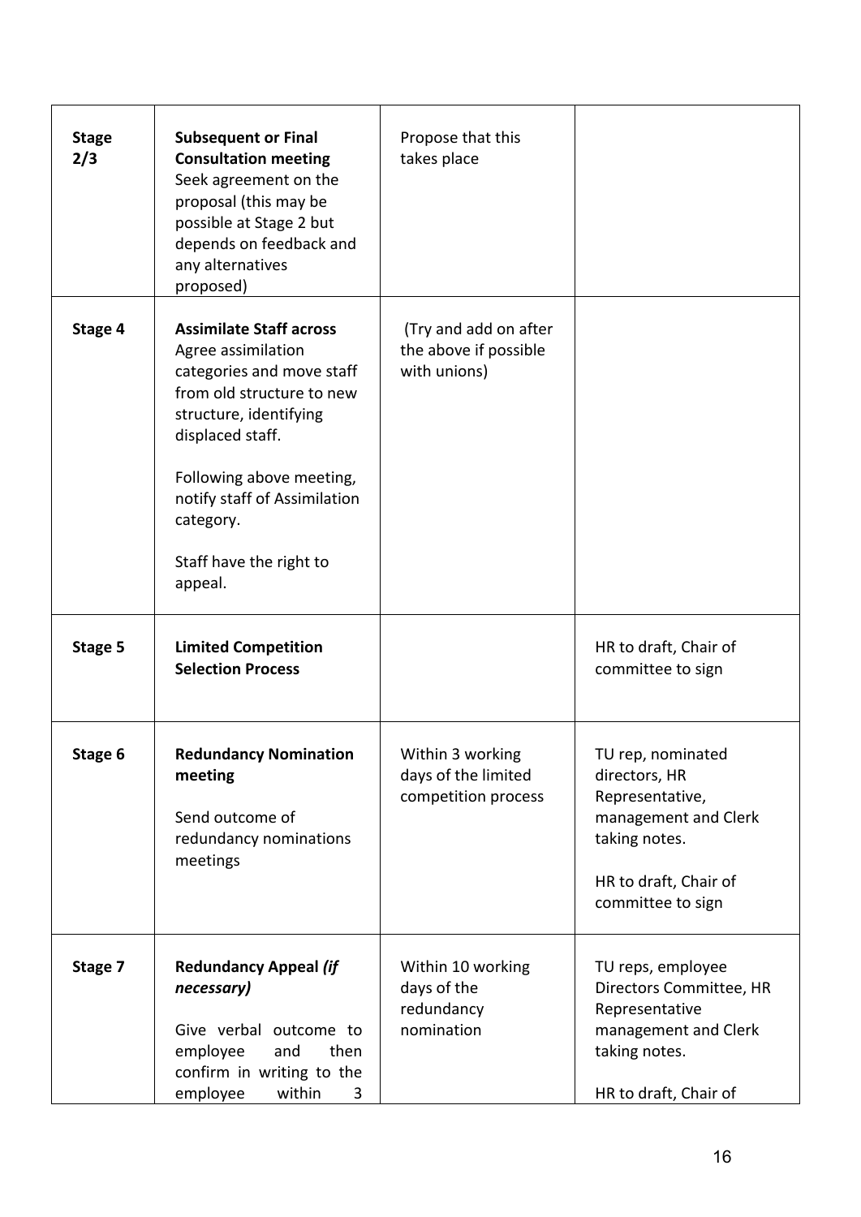| <b>Stage</b><br>2/3 | <b>Subsequent or Final</b><br><b>Consultation meeting</b><br>Seek agreement on the<br>proposal (this may be<br>possible at Stage 2 but<br>depends on feedback and<br>any alternatives<br>proposed)                                                                          | Propose that this<br>takes place                               |                                                                                                                                              |
|---------------------|-----------------------------------------------------------------------------------------------------------------------------------------------------------------------------------------------------------------------------------------------------------------------------|----------------------------------------------------------------|----------------------------------------------------------------------------------------------------------------------------------------------|
| Stage 4             | <b>Assimilate Staff across</b><br>Agree assimilation<br>categories and move staff<br>from old structure to new<br>structure, identifying<br>displaced staff.<br>Following above meeting,<br>notify staff of Assimilation<br>category.<br>Staff have the right to<br>appeal. | (Try and add on after<br>the above if possible<br>with unions) |                                                                                                                                              |
| Stage 5             | <b>Limited Competition</b><br><b>Selection Process</b>                                                                                                                                                                                                                      |                                                                | HR to draft, Chair of<br>committee to sign                                                                                                   |
| Stage 6             | <b>Redundancy Nomination</b><br>meeting<br>Send outcome of<br>redundancy nominations<br>meetings                                                                                                                                                                            | Within 3 working<br>days of the limited<br>competition process | TU rep, nominated<br>directors, HR<br>Representative,<br>management and Clerk<br>taking notes.<br>HR to draft, Chair of<br>committee to sign |
| Stage 7             | <b>Redundancy Appeal (if</b><br>necessary)<br>Give verbal outcome to<br>employee<br>then<br>and<br>confirm in writing to the<br>employee<br>within<br>3                                                                                                                     | Within 10 working<br>days of the<br>redundancy<br>nomination   | TU reps, employee<br>Directors Committee, HR<br>Representative<br>management and Clerk<br>taking notes.<br>HR to draft, Chair of             |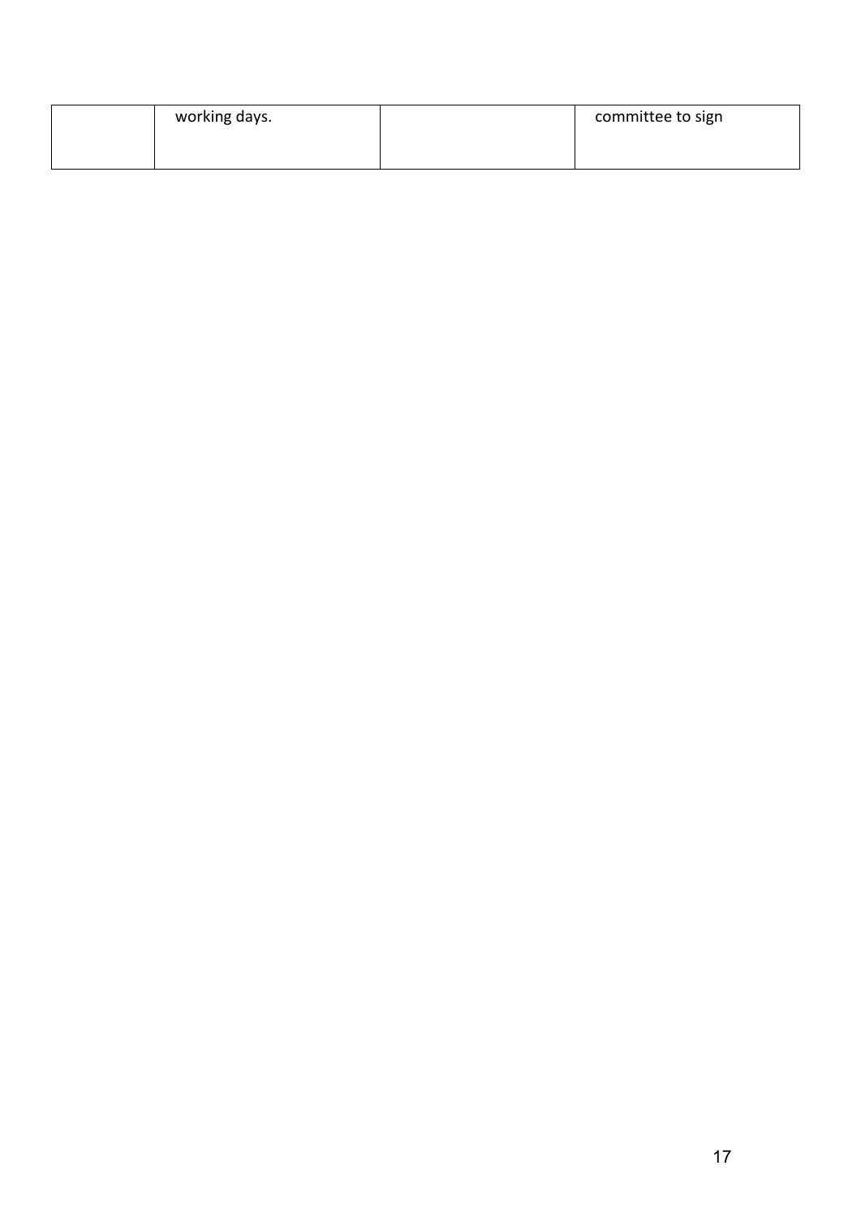| working days. | committee to sign |
|---------------|-------------------|
|               |                   |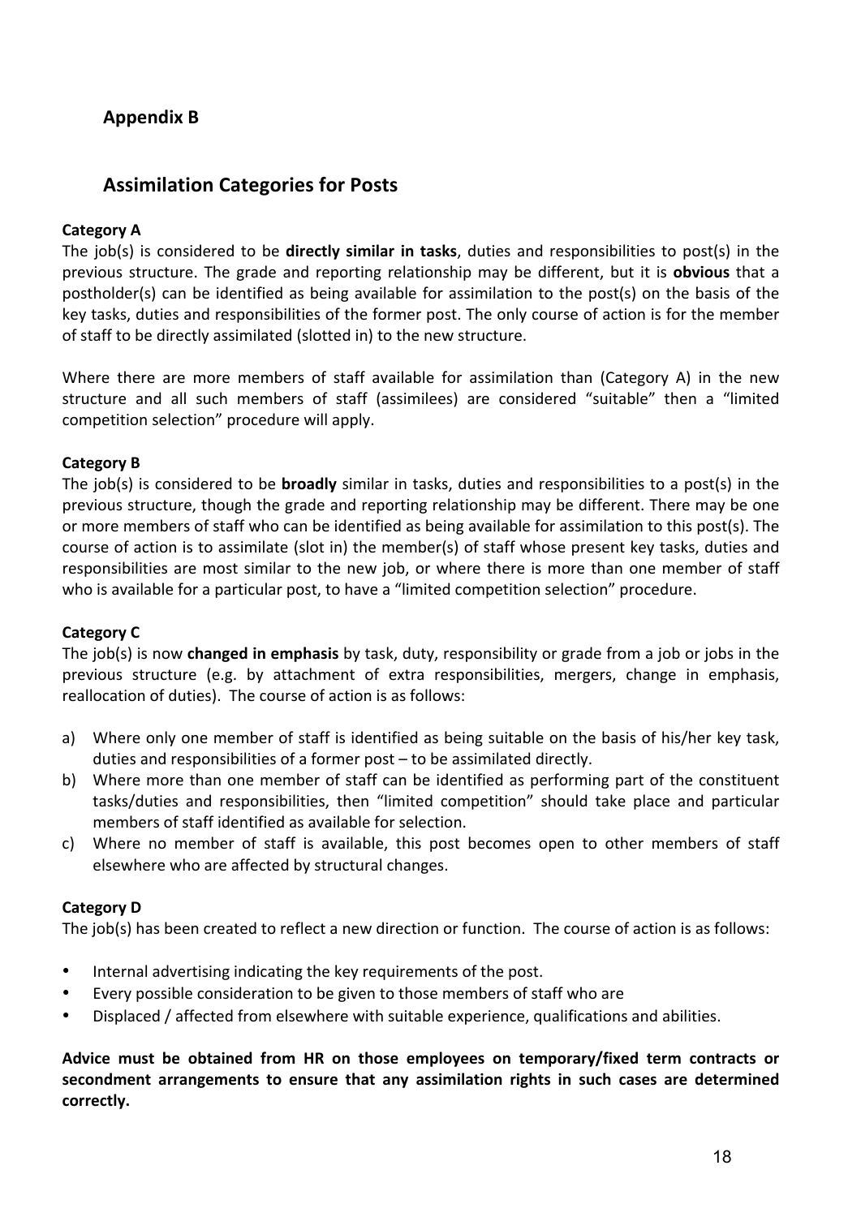## **Appendix B**

### **Assimilation Categories for Posts**

#### **Category A**

The job(s) is considered to be directly similar in tasks, duties and responsibilities to post(s) in the previous structure. The grade and reporting relationship may be different, but it is **obvious** that a postholder(s) can be identified as being available for assimilation to the post(s) on the basis of the key tasks, duties and responsibilities of the former post. The only course of action is for the member of staff to be directly assimilated (slotted in) to the new structure.

Where there are more members of staff available for assimilation than (Category A) in the new structure and all such members of staff (assimilees) are considered "suitable" then a "limited competition selection" procedure will apply.

#### **Category B**

The job(s) is considered to be **broadly** similar in tasks, duties and responsibilities to a post(s) in the previous structure, though the grade and reporting relationship may be different. There may be one or more members of staff who can be identified as being available for assimilation to this post(s). The course of action is to assimilate (slot in) the member(s) of staff whose present key tasks, duties and responsibilities are most similar to the new job, or where there is more than one member of staff who is available for a particular post, to have a "limited competition selection" procedure.

#### **Category C**

The job(s) is now **changed in emphasis** by task, duty, responsibility or grade from a job or jobs in the previous structure (e.g. by attachment of extra responsibilities, mergers, change in emphasis, reallocation of duties). The course of action is as follows:

- a) Where only one member of staff is identified as being suitable on the basis of his/her key task, duties and responsibilities of a former post - to be assimilated directly.
- b) Where more than one member of staff can be identified as performing part of the constituent tasks/duties and responsibilities, then "limited competition" should take place and particular members of staff identified as available for selection.
- c) Where no member of staff is available, this post becomes open to other members of staff elsewhere who are affected by structural changes.

#### **Category D**

The job(s) has been created to reflect a new direction or function. The course of action is as follows:

- Internal advertising indicating the key requirements of the post.
- Every possible consideration to be given to those members of staff who are
- Displaced / affected from elsewhere with suitable experience, qualifications and abilities.

Advice must be obtained from HR on those employees on temporary/fixed term contracts or secondment arrangements to ensure that any assimilation rights in such cases are determined **correctly.**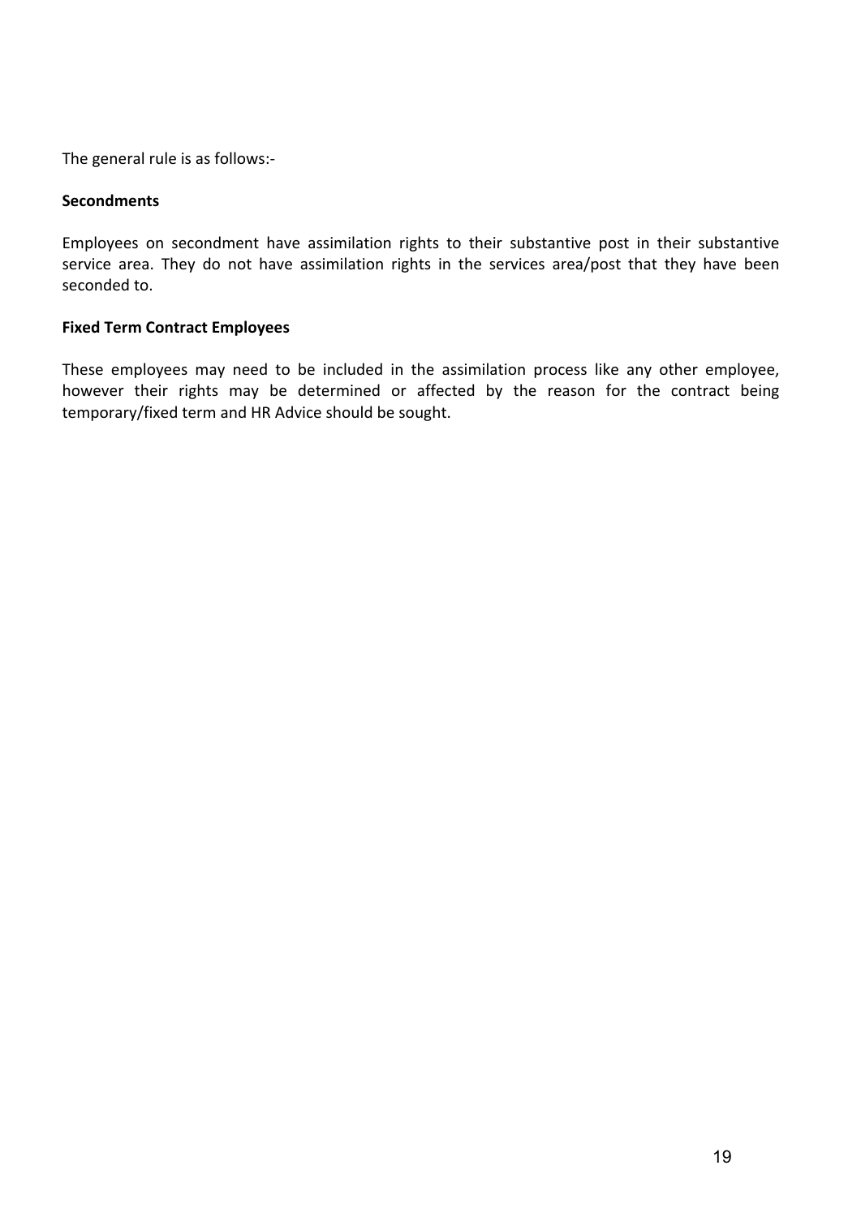The general rule is as follows:-

#### **Secondments**

Employees on secondment have assimilation rights to their substantive post in their substantive service area. They do not have assimilation rights in the services area/post that they have been seconded to.

#### **Fixed Term Contract Employees**

These employees may need to be included in the assimilation process like any other employee, however their rights may be determined or affected by the reason for the contract being temporary/fixed term and HR Advice should be sought.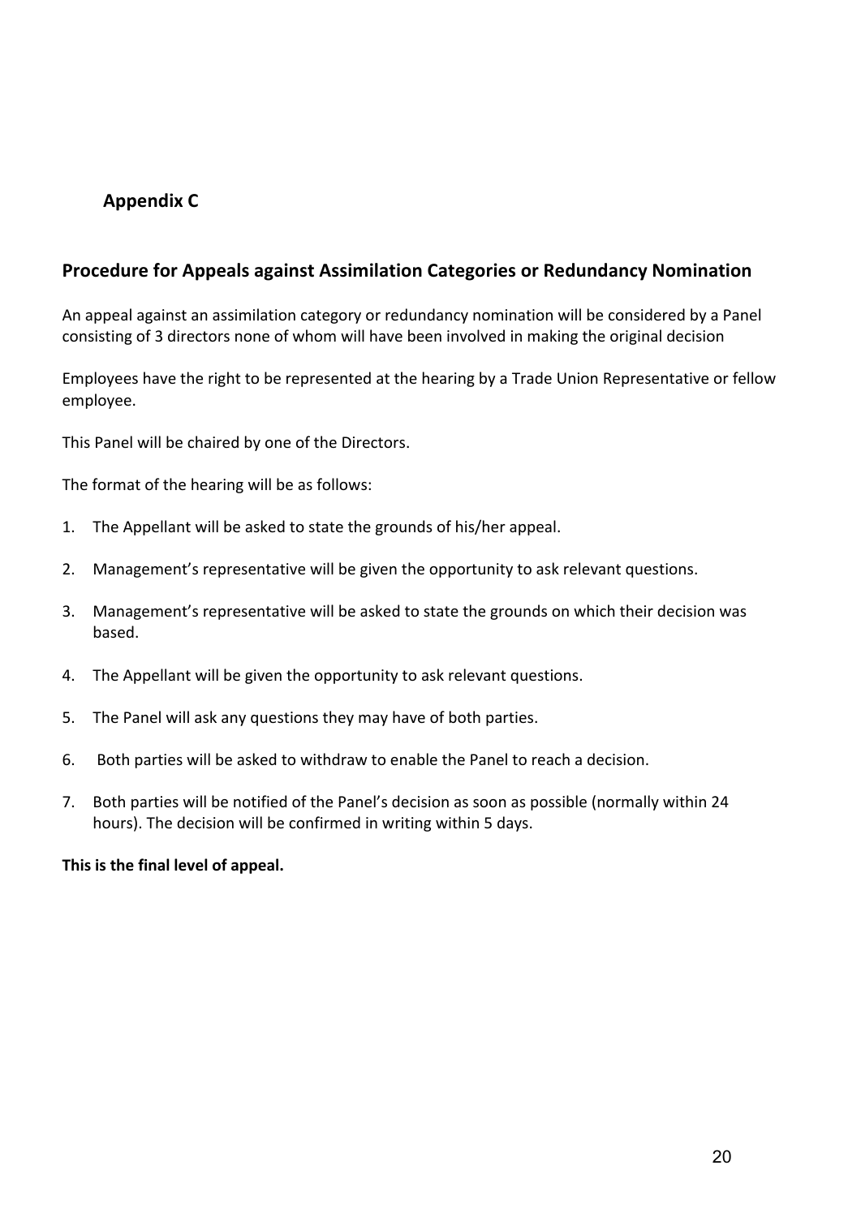### **Appendix C**

#### **Procedure for Appeals against Assimilation Categories or Redundancy Nomination**

An appeal against an assimilation category or redundancy nomination will be considered by a Panel consisting of 3 directors none of whom will have been involved in making the original decision

Employees have the right to be represented at the hearing by a Trade Union Representative or fellow employee.

This Panel will be chaired by one of the Directors.

The format of the hearing will be as follows:

- 1. The Appellant will be asked to state the grounds of his/her appeal.
- 2. Management's representative will be given the opportunity to ask relevant questions.
- 3. Management's representative will be asked to state the grounds on which their decision was based.
- 4. The Appellant will be given the opportunity to ask relevant questions.
- 5. The Panel will ask any questions they may have of both parties.
- 6. Both parties will be asked to withdraw to enable the Panel to reach a decision.
- 7. Both parties will be notified of the Panel's decision as soon as possible (normally within 24 hours). The decision will be confirmed in writing within 5 days.

This is the final level of appeal.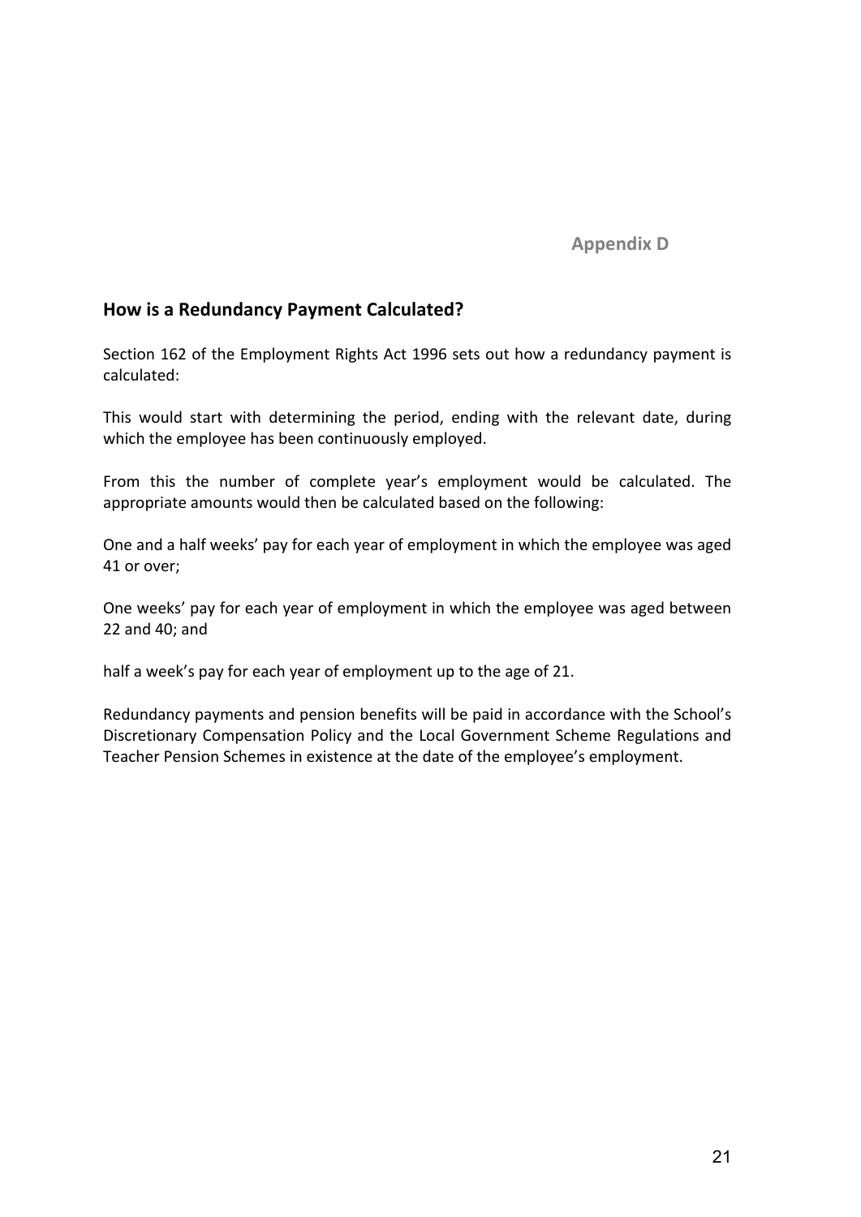**Appendix D** 

#### **How is a Redundancy Payment Calculated?**

Section 162 of the Employment Rights Act 1996 sets out how a redundancy payment is calculated:

This would start with determining the period, ending with the relevant date, during which the employee has been continuously employed.

From this the number of complete year's employment would be calculated. The appropriate amounts would then be calculated based on the following:

One and a half weeks' pay for each year of employment in which the employee was aged 41 or over;

One weeks' pay for each year of employment in which the employee was aged between  $22$  and  $40$ ; and

half a week's pay for each year of employment up to the age of 21.

Redundancy payments and pension benefits will be paid in accordance with the School's Discretionary Compensation Policy and the Local Government Scheme Regulations and Teacher Pension Schemes in existence at the date of the employee's employment.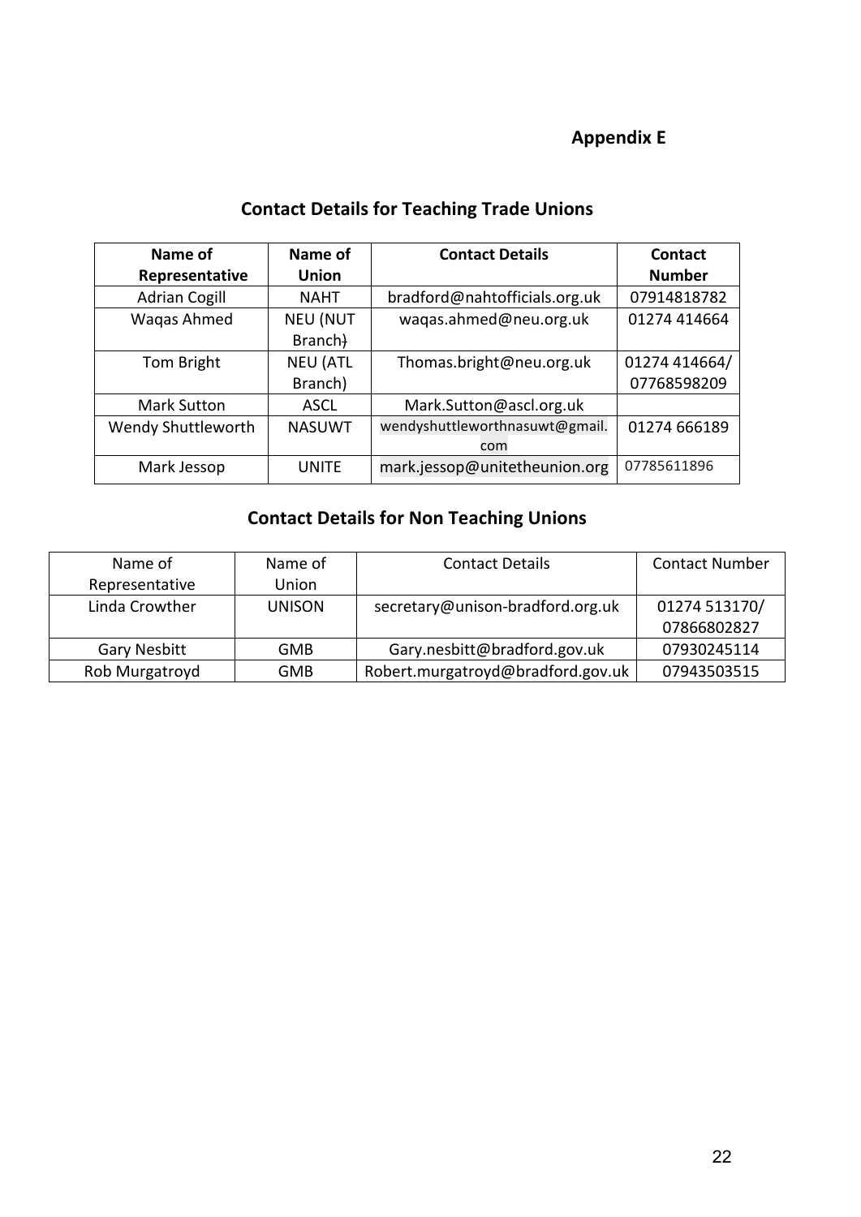## **Appendix E**

## **Contact Details for Teaching Trade Unions**

| Name of              | Name of         | <b>Contact Details</b>         | Contact       |  |
|----------------------|-----------------|--------------------------------|---------------|--|
| Representative       | <b>Union</b>    |                                | <b>Number</b> |  |
| <b>Adrian Cogill</b> | <b>NAHT</b>     | bradford@nahtofficials.org.uk  | 07914818782   |  |
| Wagas Ahmed          | <b>NEU (NUT</b> | waqas.ahmed@neu.org.uk         | 01274 414664  |  |
|                      | Branch)         |                                |               |  |
| Tom Bright           | <b>NEU (ATL</b> | Thomas.bright@neu.org.uk       | 01274 414664/ |  |
|                      | Branch)         |                                | 07768598209   |  |
| <b>Mark Sutton</b>   | <b>ASCL</b>     | Mark.Sutton@ascl.org.uk        |               |  |
| Wendy Shuttleworth   | <b>NASUWT</b>   | wendyshuttleworthnasuwt@gmail. | 01274 666189  |  |
|                      |                 | com                            |               |  |
| Mark Jessop          | <b>UNITE</b>    | mark.jessop@unitetheunion.org  | 07785611896   |  |

## **Contact Details for Non Teaching Unions**

| Name of             | Name of       | <b>Contact Details</b>            | <b>Contact Number</b> |  |  |
|---------------------|---------------|-----------------------------------|-----------------------|--|--|
| Representative      | Union         |                                   |                       |  |  |
| Linda Crowther      | <b>UNISON</b> | secretary@unison-bradford.org.uk  | 01274 513170/         |  |  |
|                     |               |                                   | 07866802827           |  |  |
| <b>Gary Nesbitt</b> | <b>GMB</b>    | Gary.nesbitt@bradford.gov.uk      | 07930245114           |  |  |
| Rob Murgatroyd      | <b>GMB</b>    | Robert.murgatroyd@bradford.gov.uk | 07943503515           |  |  |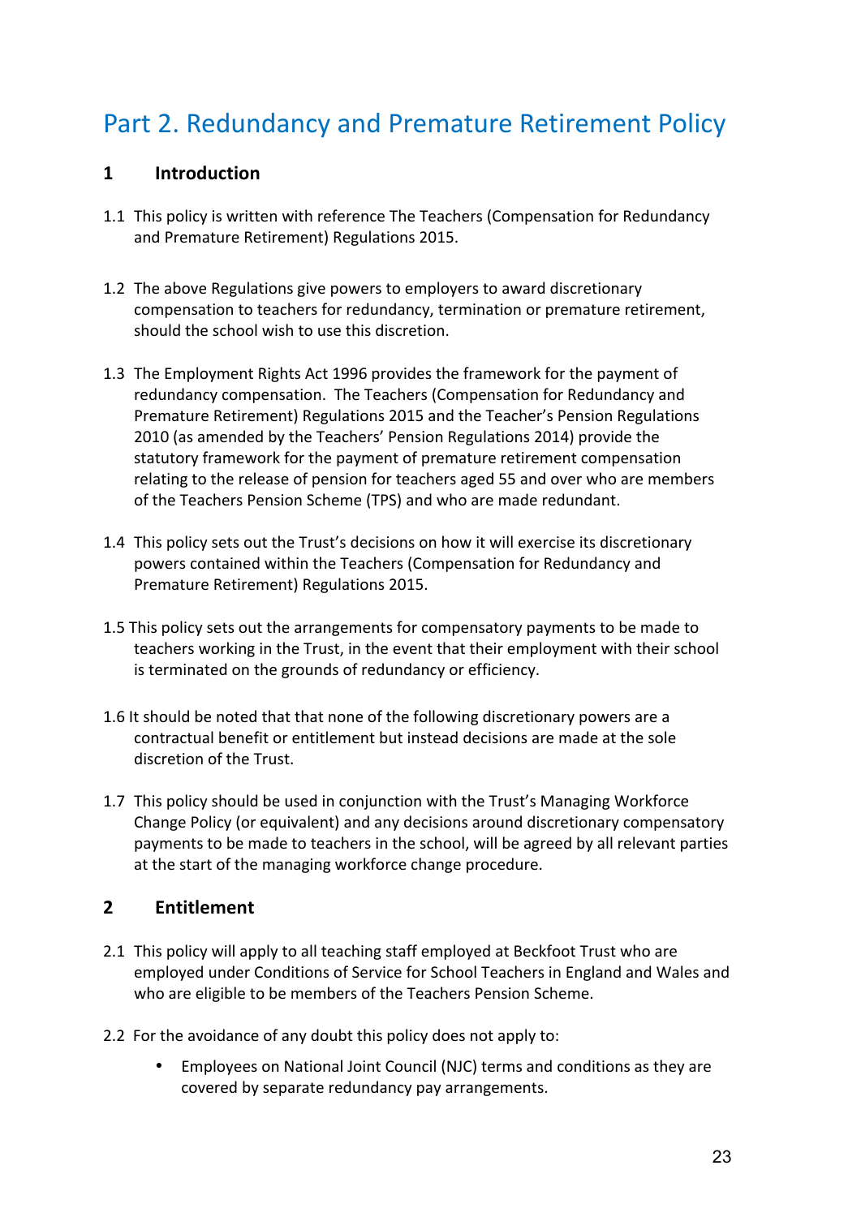## Part 2. Redundancy and Premature Retirement Policy

#### **1 Introduction**

- 1.1 This policy is written with reference The Teachers (Compensation for Redundancy and Premature Retirement) Regulations 2015.
- 1.2 The above Regulations give powers to employers to award discretionary compensation to teachers for redundancy, termination or premature retirement, should the school wish to use this discretion.
- 1.3 The Employment Rights Act 1996 provides the framework for the payment of redundancy compensation. The Teachers (Compensation for Redundancy and Premature Retirement) Regulations 2015 and the Teacher's Pension Regulations 2010 (as amended by the Teachers' Pension Regulations 2014) provide the statutory framework for the payment of premature retirement compensation relating to the release of pension for teachers aged 55 and over who are members of the Teachers Pension Scheme (TPS) and who are made redundant.
- 1.4 This policy sets out the Trust's decisions on how it will exercise its discretionary powers contained within the Teachers (Compensation for Redundancy and Premature Retirement) Regulations 2015.
- 1.5 This policy sets out the arrangements for compensatory payments to be made to teachers working in the Trust, in the event that their employment with their school is terminated on the grounds of redundancy or efficiency.
- 1.6 It should be noted that that none of the following discretionary powers are a contractual benefit or entitlement but instead decisions are made at the sole discretion of the Trust.
- 1.7 This policy should be used in conjunction with the Trust's Managing Workforce Change Policy (or equivalent) and any decisions around discretionary compensatory payments to be made to teachers in the school, will be agreed by all relevant parties at the start of the managing workforce change procedure.

#### **2 Entitlement**

- 2.1 This policy will apply to all teaching staff employed at Beckfoot Trust who are employed under Conditions of Service for School Teachers in England and Wales and who are eligible to be members of the Teachers Pension Scheme.
- 2.2 For the avoidance of any doubt this policy does not apply to:
	- Employees on National Joint Council (NJC) terms and conditions as they are covered by separate redundancy pay arrangements.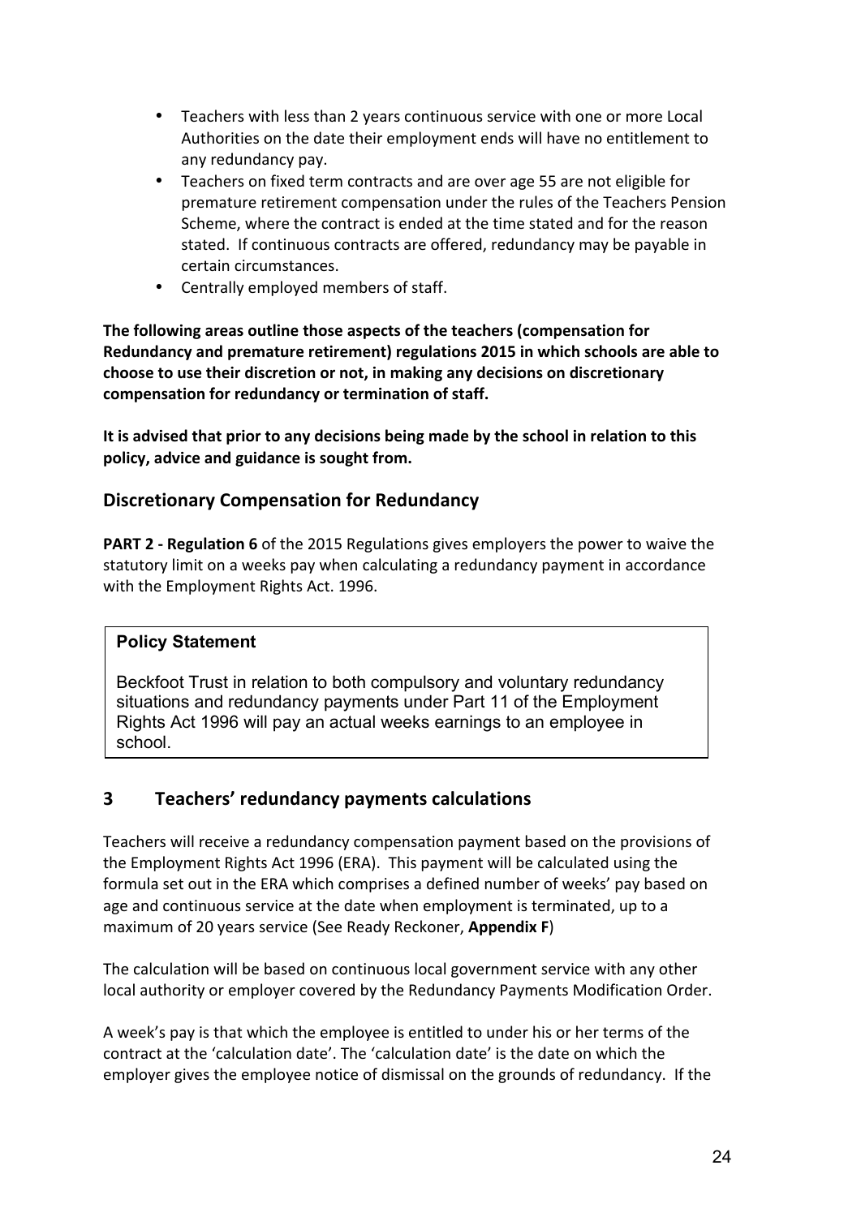- Teachers with less than 2 years continuous service with one or more Local Authorities on the date their employment ends will have no entitlement to any redundancy pay.
- Teachers on fixed term contracts and are over age 55 are not eligible for premature retirement compensation under the rules of the Teachers Pension Scheme, where the contract is ended at the time stated and for the reason stated. If continuous contracts are offered, redundancy may be payable in certain circumstances.
- Centrally employed members of staff.

The following areas outline those aspects of the teachers (compensation for **Redundancy and premature retirement) regulations 2015 in which schools are able to** choose to use their discretion or not, in making any decisions on discretionary compensation for redundancy or termination of staff.

It is advised that prior to any decisions being made by the school in relation to this policy, advice and guidance is sought from.

#### **Discretionary Compensation for Redundancy**

**PART 2 - Regulation 6** of the 2015 Regulations gives employers the power to waive the statutory limit on a weeks pay when calculating a redundancy payment in accordance with the Employment Rights Act. 1996.

#### **Policy Statement**

Beckfoot Trust in relation to both compulsory and voluntary redundancy situations and redundancy payments under Part 11 of the Employment Rights Act 1996 will pay an actual weeks earnings to an employee in school.

#### **3 Teachers' redundancy payments calculations**

Teachers will receive a redundancy compensation payment based on the provisions of the Employment Rights Act 1996 (ERA). This payment will be calculated using the formula set out in the ERA which comprises a defined number of weeks' pay based on age and continuous service at the date when employment is terminated, up to a maximum of 20 years service (See Ready Reckoner, **Appendix F**)

The calculation will be based on continuous local government service with any other local authority or employer covered by the Redundancy Payments Modification Order.

A week's pay is that which the employee is entitled to under his or her terms of the contract at the 'calculation date'. The 'calculation date' is the date on which the employer gives the employee notice of dismissal on the grounds of redundancy. If the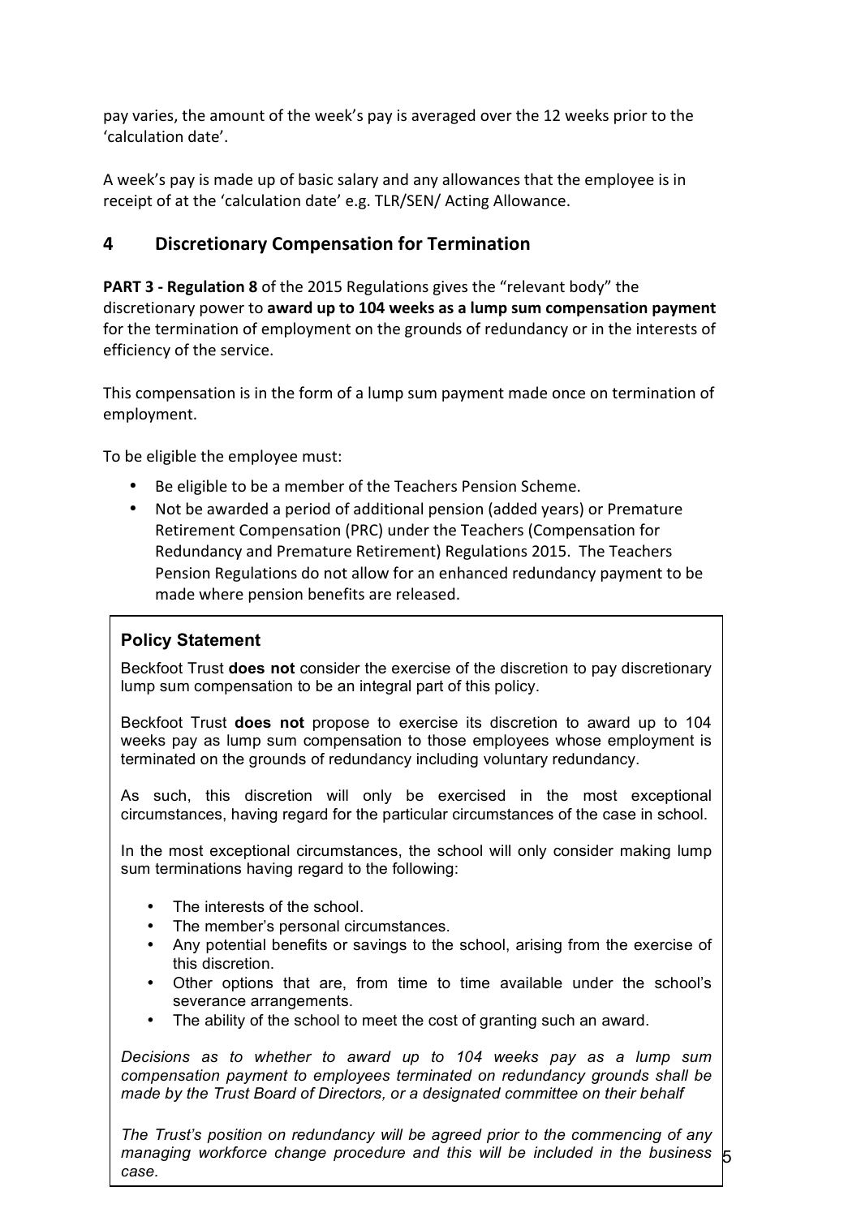pay varies, the amount of the week's pay is averaged over the 12 weeks prior to the 'calculation date'.

A week's pay is made up of basic salary and any allowances that the employee is in receipt of at the 'calculation date' e.g. TLR/SEN/ Acting Allowance.

#### **4 Discretionary Compensation for Termination**

**PART 3 - Regulation 8** of the 2015 Regulations gives the "relevant body" the discretionary power to **award up to 104 weeks as a lump sum compensation payment** for the termination of employment on the grounds of redundancy or in the interests of efficiency of the service.

This compensation is in the form of a lump sum payment made once on termination of employment.

To be eligible the employee must:

- Be eligible to be a member of the Teachers Pension Scheme.
- Not be awarded a period of additional pension (added years) or Premature Retirement Compensation (PRC) under the Teachers (Compensation for Redundancy and Premature Retirement) Regulations 2015. The Teachers Pension Regulations do not allow for an enhanced redundancy payment to be made where pension benefits are released.

#### **Policy Statement**

Beckfoot Trust **does not** consider the exercise of the discretion to pay discretionary lump sum compensation to be an integral part of this policy.

Beckfoot Trust **does not** propose to exercise its discretion to award up to 104 weeks pay as lump sum compensation to those employees whose employment is terminated on the grounds of redundancy including voluntary redundancy.

As such, this discretion will only be exercised in the most exceptional circumstances, having regard for the particular circumstances of the case in school.

In the most exceptional circumstances, the school will only consider making lump sum terminations having regard to the following:

- The interests of the school.
- The member's personal circumstances.
- Any potential benefits or savings to the school, arising from the exercise of this discretion.
- Other options that are, from time to time available under the school's severance arrangements.
- The ability of the school to meet the cost of granting such an award.

*Decisions as to whether to award up to 104 weeks pay as a lump sum compensation payment to employees terminated on redundancy grounds shall be made by the Trust Board of Directors, or a designated committee on their behalf*

managing workforce change procedure and this will be included in the business  $\,$  5 *The Trust's position on redundancy will be agreed prior to the commencing of any case.*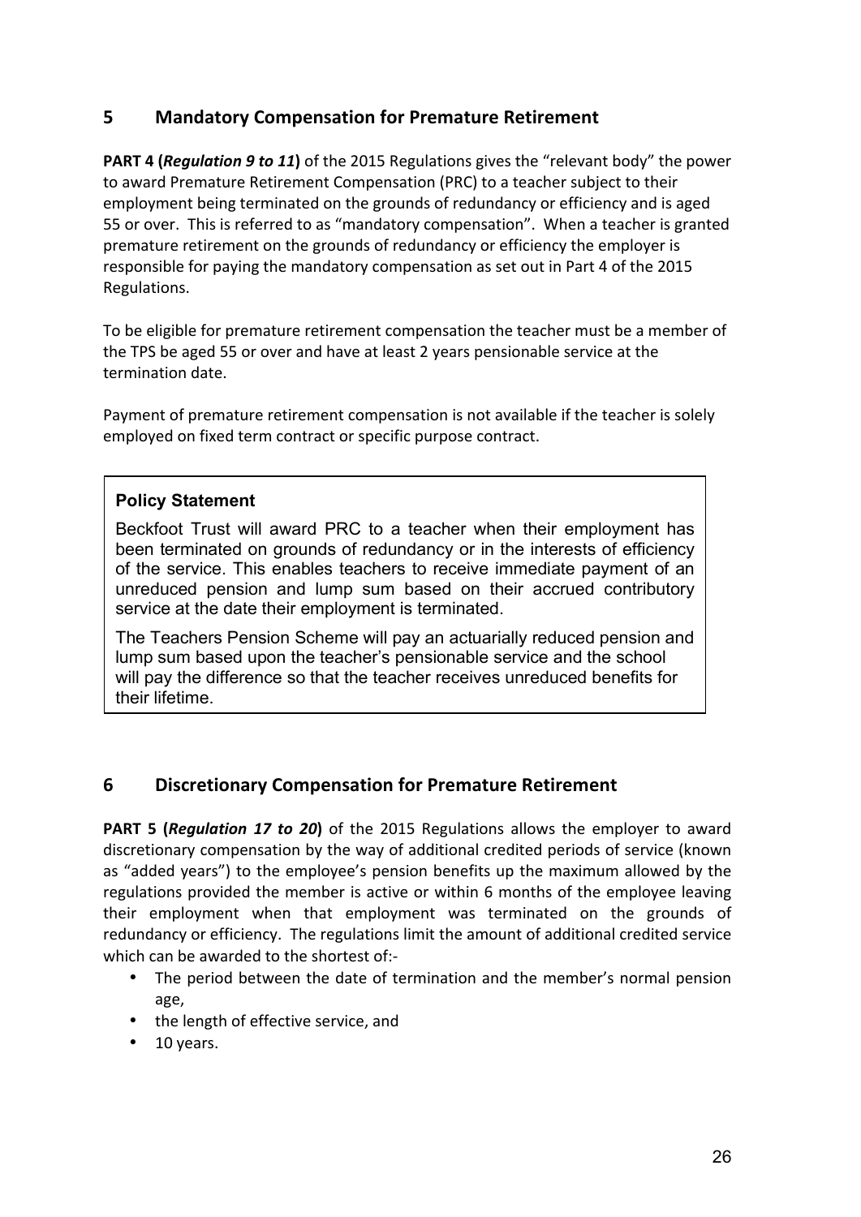#### **5 Mandatory Compensation for Premature Retirement**

**PART 4 (***Requlation 9 to 11***)** of the 2015 Regulations gives the "relevant body" the power to award Premature Retirement Compensation (PRC) to a teacher subject to their employment being terminated on the grounds of redundancy or efficiency and is aged 55 or over. This is referred to as "mandatory compensation". When a teacher is granted premature retirement on the grounds of redundancy or efficiency the employer is responsible for paying the mandatory compensation as set out in Part 4 of the 2015 Regulations.

To be eligible for premature retirement compensation the teacher must be a member of the TPS be aged 55 or over and have at least 2 years pensionable service at the termination date.

Payment of premature retirement compensation is not available if the teacher is solely employed on fixed term contract or specific purpose contract.

#### **Policy Statement**

Beckfoot Trust will award PRC to a teacher when their employment has been terminated on grounds of redundancy or in the interests of efficiency of the service. This enables teachers to receive immediate payment of an unreduced pension and lump sum based on their accrued contributory service at the date their employment is terminated.

The Teachers Pension Scheme will pay an actuarially reduced pension and lump sum based upon the teacher's pensionable service and the school will pay the difference so that the teacher receives unreduced benefits for their lifetime.

#### **6 Discretionary Compensation for Premature Retirement**

**PART 5 (Regulation 17 to 20)** of the 2015 Regulations allows the employer to award discretionary compensation by the way of additional credited periods of service (known as "added years") to the employee's pension benefits up the maximum allowed by the regulations provided the member is active or within 6 months of the employee leaving their employment when that employment was terminated on the grounds of redundancy or efficiency. The regulations limit the amount of additional credited service which can be awarded to the shortest of:-

- The period between the date of termination and the member's normal pension age,
- the length of effective service, and
- $\cdot$  10 years.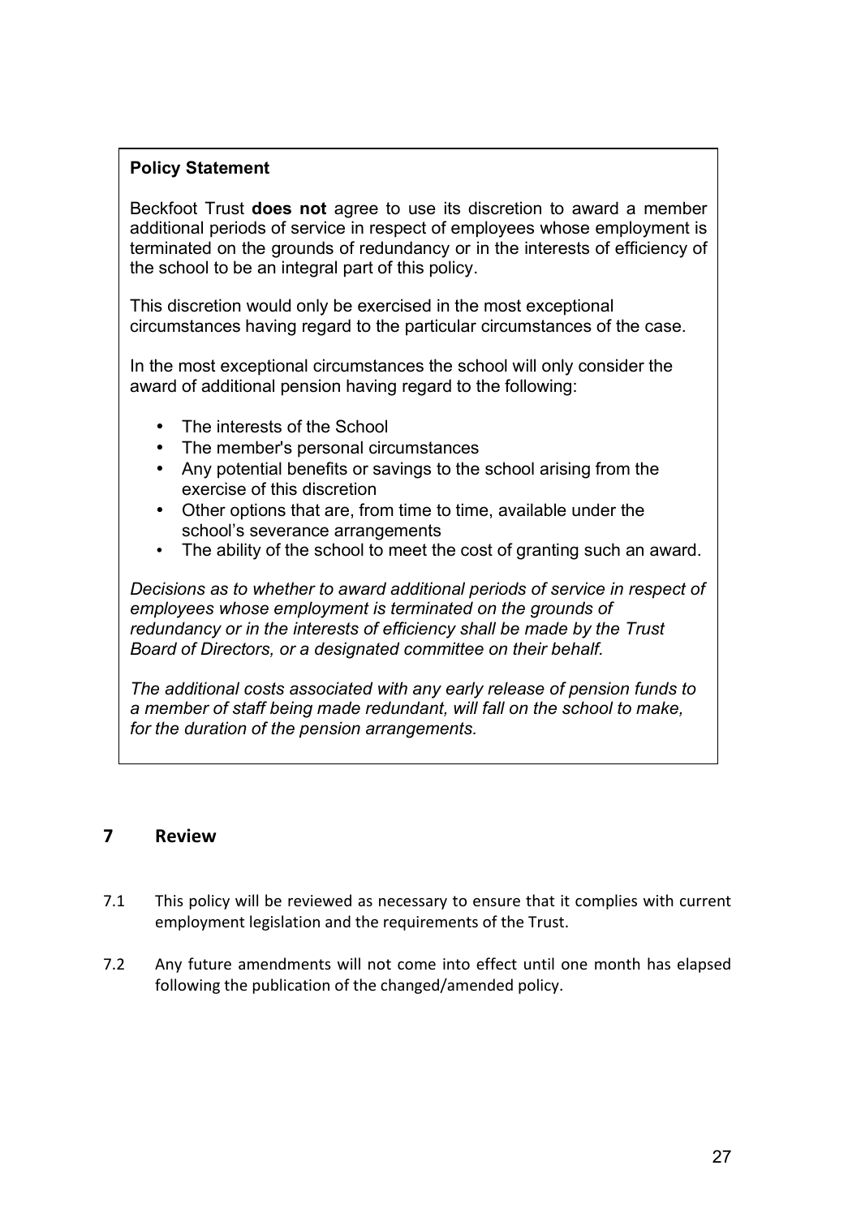#### **Policy Statement**

Beckfoot Trust **does not** agree to use its discretion to award a member additional periods of service in respect of employees whose employment is terminated on the grounds of redundancy or in the interests of efficiency of the school to be an integral part of this policy.

This discretion would only be exercised in the most exceptional circumstances having regard to the particular circumstances of the case.

In the most exceptional circumstances the school will only consider the award of additional pension having regard to the following:

- The interests of the School
- The member's personal circumstances
- Any potential benefits or savings to the school arising from the exercise of this discretion
- Other options that are, from time to time, available under the school's severance arrangements
- The ability of the school to meet the cost of granting such an award.

*Decisions as to whether to award additional periods of service in respect of employees whose employment is terminated on the grounds of redundancy or in the interests of efficiency shall be made by the Trust Board of Directors, or a designated committee on their behalf.*

*The additional costs associated with any early release of pension funds to a member of staff being made redundant, will fall on the school to make, for the duration of the pension arrangements.*

#### **7 Review**

- 7.1 This policy will be reviewed as necessary to ensure that it complies with current employment legislation and the requirements of the Trust.
- 7.2 Any future amendments will not come into effect until one month has elapsed following the publication of the changed/amended policy.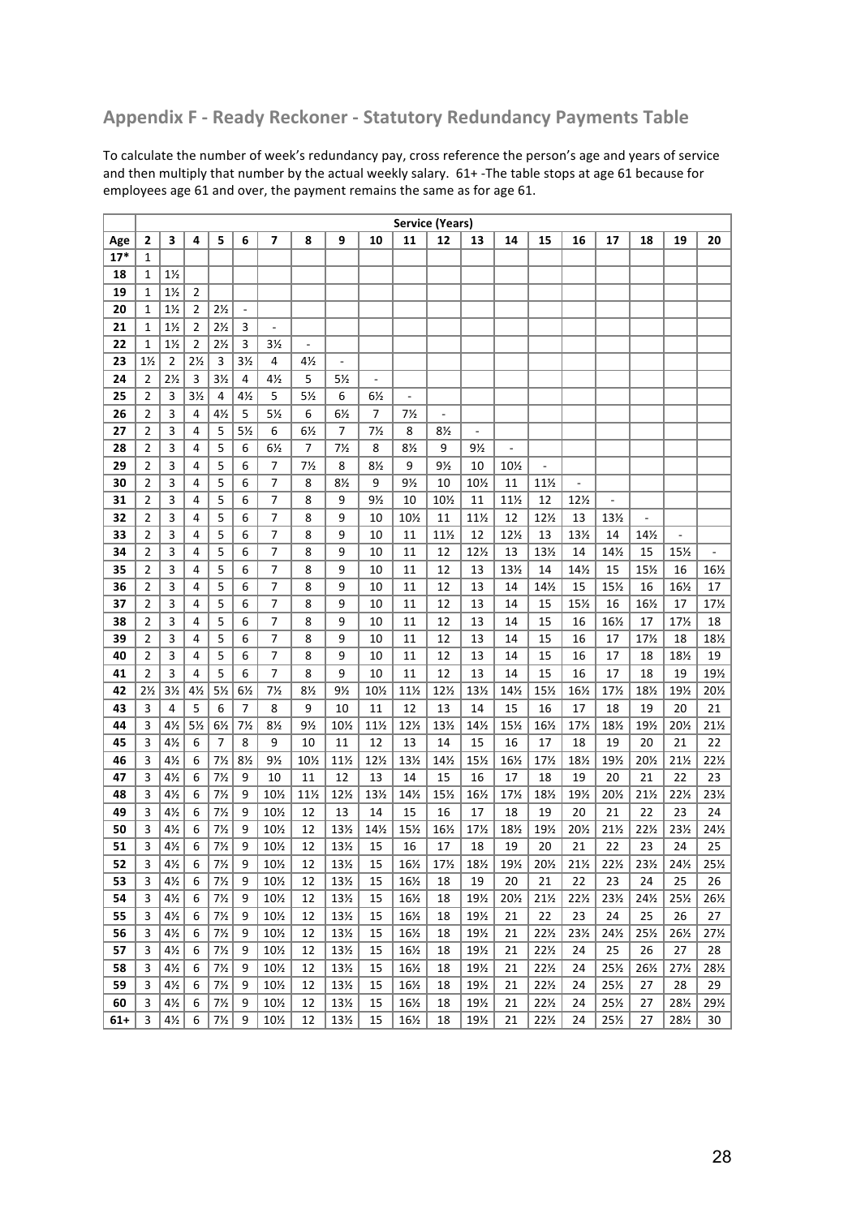#### **Appendix F - Ready Reckoner - Statutory Redundancy Payments Table**

To calculate the number of week's redundancy pay, cross reference the person's age and years of service and then multiply that number by the actual weekly salary.  $61+$ -The table stops at age 61 because for employees age 61 and over, the payment remains the same as for age 61.

|          |                | <b>Service (Years)</b>           |                |                                  |                          |                          |                |                 |                |                 |                 |                 |           |                 |                 |                 |                  |                 |                 |
|----------|----------------|----------------------------------|----------------|----------------------------------|--------------------------|--------------------------|----------------|-----------------|----------------|-----------------|-----------------|-----------------|-----------|-----------------|-----------------|-----------------|------------------|-----------------|-----------------|
| Age      | 2              | 3                                | 4              | 5                                | 6                        | 7                        | 8              | 9               | 10             | 11              | 12              | 13              | 14        | 15              | 16              | 17              | 18               | 19              | 20              |
| $17*$    | 1              |                                  |                |                                  |                          |                          |                |                 |                |                 |                 |                 |           |                 |                 |                 |                  |                 |                 |
| 18       | 1              | $1\frac{1}{2}$                   |                |                                  |                          |                          |                |                 |                |                 |                 |                 |           |                 |                 |                 |                  |                 |                 |
| 19       | $\mathbf{1}$   | $1\frac{1}{2}$                   | $\overline{2}$ |                                  |                          |                          |                |                 |                |                 |                 |                 |           |                 |                 |                 |                  |                 |                 |
| 20       | 1              | $1\frac{1}{2}$                   | 2              | $2\frac{1}{2}$                   | $\overline{\phantom{a}}$ |                          |                |                 |                |                 |                 |                 |           |                 |                 |                 |                  |                 |                 |
| 21       | $\mathbf{1}$   | $1\frac{1}{2}$                   | $\overline{2}$ | $2\frac{1}{2}$                   | 3                        | $\overline{\phantom{a}}$ |                |                 |                |                 |                 |                 |           |                 |                 |                 |                  |                 |                 |
| 22       | $\mathbf{1}$   | $1\frac{1}{2}$                   | $\overline{2}$ | $2\frac{1}{2}$                   | 3                        | 3½                       | $\overline{a}$ |                 |                |                 |                 |                 |           |                 |                 |                 |                  |                 |                 |
| 23       | $1\frac{1}{2}$ | $\overline{2}$                   | $2\frac{1}{2}$ | $\overline{3}$                   | 3 <sub>2</sub>           | $\overline{4}$           | $4\frac{1}{2}$ | ÷,              |                |                 |                 |                 |           |                 |                 |                 |                  |                 |                 |
| 24       | $\overline{2}$ | $2\frac{1}{2}$                   | 3              | $3\frac{1}{2}$                   | 4                        | $4\frac{1}{2}$           | 5              | 5½              | $\frac{1}{2}$  |                 |                 |                 |           |                 |                 |                 |                  |                 |                 |
| 25       | 2              | $\overline{\mathbf{3}}$          | $3\frac{1}{2}$ | 4                                | $4\frac{1}{2}$           | 5                        | 5 <sub>2</sub> | 6               | 6½             | ÷,              |                 |                 |           |                 |                 |                 |                  |                 |                 |
| 26       | 2              | 3                                | 4              | $4\frac{1}{2}$                   | 5                        | $5\%$                    | 6              | 6 <sub>2</sub>  | 7              | $7\frac{1}{2}$  | $\frac{1}{2}$   |                 |           |                 |                 |                 |                  |                 |                 |
| 27       | $\overline{2}$ | 3                                | 4              | 5                                | 5 <sub>2</sub>           | 6                        | 6 <sub>2</sub> | 7               | $7\frac{1}{2}$ | 8               | 8½              | $\frac{1}{2}$   |           |                 |                 |                 |                  |                 |                 |
| 28       | 2              | 3                                | 4              | 5                                | 6                        | $6\frac{1}{2}$           | 7              | $7\frac{1}{2}$  | 8              | $8\frac{1}{2}$  | 9               | $9\frac{1}{2}$  |           |                 |                 |                 |                  |                 |                 |
| 29       | $\overline{2}$ | 3                                | 4              | 5                                | 6                        | 7                        | $7\frac{1}{2}$ | 8               | 8 <sub>2</sub> | 9               | 9½              | 10              | 10½       |                 |                 |                 |                  |                 |                 |
| 30       | 2              | 3                                | 4              | 5                                | 6                        | $\overline{7}$           | 8              | $8\frac{1}{2}$  | 9              | 9½              | 10              | 10½             | 11        | $11\frac{1}{2}$ |                 |                 |                  |                 |                 |
| 31       | $\overline{2}$ | 3                                | 4              | 5                                | 6                        | $\overline{7}$           | 8              | 9               | $9\frac{1}{2}$ | 10              | 10%             | 11              | 11%       | 12              | 12½             |                 |                  |                 |                 |
| 32       | $\overline{2}$ | 3                                | 4              | 5                                | 6                        | $\overline{7}$           | 8              | 9               | 10             | 10%             | 11              | 11%             | 12        | 12%             | 13              | 13½             |                  |                 |                 |
| 33       | $\overline{2}$ | 3                                | 4              | 5                                | 6                        | $\overline{7}$           | 8              | 9               | 10             | 11              | 11%             | 12              | 12%       | 13              | 13%             | 14              | 14½              |                 |                 |
| 34       | $\overline{2}$ | 3                                | 4              | 5                                | 6                        | $\overline{7}$           | 8              | 9               | 10             | 11              | 12              | 12%             | 13        | 13½             | 14              | 14%             | 15               | 15%             |                 |
| 35       | $\overline{2}$ | 3                                | 4              | 5                                | 6                        | $\overline{7}$           | 8              | 9               | 10             | 11              | 12              | 13              | 13½       | 14              | 14%             | 15              | 15%              | 16              | 16½             |
| 36       | $\overline{2}$ | 3                                | 4              | 5                                | 6                        | $\overline{7}$           | 8              | 9               | 10             | 11              | 12              | 13              | 14        | 14½             | 15              | 15%             | 16               | 16½             | 17              |
| 37       | $\overline{2}$ | 3                                | 4              | 5                                | 6                        | $\overline{7}$           | 8              | 9               | 10             | 11              | 12              | 13              | 14        | 15              | 15%             | 16              | 16%              | 17              | 17%             |
| 38       | $\overline{2}$ | 3                                | 4              | 5                                | 6                        | $\overline{7}$           | 8              | 9               | 10             | 11              | 12              | 13              | 14        | 15              | 16              | 16½             | 17               | 17%             | 18              |
| 39       | $\overline{2}$ | 3                                | 4              | 5                                | 6                        | $\overline{7}$           | 8              | 9               | 10             | 11              | 12              | 13              | 14        | 15              | 16              | 17              | 17%              | 18              | 18½             |
| 40       | $\overline{2}$ | 3                                | 4              | 5                                | 6                        | $\overline{7}$           | 8              | 9               | 10             | 11              | 12              | 13              | 14        | 15              | 16              | 17              | 18               | 18½             | 19              |
| 41       | $\overline{2}$ | 3                                | 4              | 5                                | 6                        | $\overline{7}$           | 8              | 9               | 10             | 11              | 12              | 13              | 14        | 15              | 16              | 17              | 18               | 19              | 19½             |
| 42       | 2 <sub>2</sub> | 3 <sub>2</sub>                   | $4\frac{1}{2}$ | $5\frac{1}{2}$                   | $6\frac{1}{2}$           | $7\frac{1}{2}$           | 8 <sub>2</sub> | $9\frac{1}{2}$  | 10½            | 11%             | 12%             | 13½             | 14%       | 15%             | 16½             | 17%             | 181/2            | 19%             | 201/2           |
| 43       | 3              | $\overline{4}$                   | 5              | 6                                | $\overline{7}$           | 8                        | 9              | 10              | 11             | 12              | 13              | 14              | 15        | 16              | 17              | 18              | 19               | 20              | 21              |
| 44       | 3              | $4\frac{1}{2}$                   | $5\frac{1}{2}$ | 6 <sub>2</sub><br>$\overline{7}$ | $7\frac{1}{2}$           | 8 <sub>2</sub><br>9      | 9½             | 10%             | 11%            | 12%             | 13½             | 14½             | 15%       | 16½             | 17%             | 181/2           | 191/2            | 20%             | 21½<br>22       |
| 45<br>46 | 3<br>3         | 4 <sub>2</sub><br>$4\frac{1}{2}$ | 6<br>6         | $7\frac{1}{2}$                   | 8<br>8½                  | $9\frac{1}{2}$           | 10             | 11              | 12<br>12%      | 13              | 14<br>14%       | 15<br>15%       | 16        | 17              | 18              | 19<br>19½       | 20               | 21              | 221/2           |
| 47       | 3              | $4\frac{1}{2}$                   | 6              | $7\frac{1}{2}$                   | 9                        | 10                       | 10½<br>11      | 11½<br>12       | 13             | 13½<br>14       | 15              | 16              | 16½<br>17 | 17%<br>18       | 181/2<br>19     | 20              | 201/2<br>21      | 211/2<br>22     | 23              |
| 48       | 3              | $4\frac{1}{2}$                   | 6              | $7\frac{1}{2}$                   | 9                        | 10½                      | 11½            | 12½             | 13½            | 14½             | 15%             | 16½             | 17%       | 181/2           | 191/2           | 201/2           | 211/2            | $22\frac{1}{2}$ | 231/2           |
| 49       | 3              | $4\frac{1}{2}$                   | 6              | $7\frac{1}{2}$                   | 9                        | 10½                      | 12             | 13              | 14             | 15              | 16              | 17              | 18        | 19              | 20              | 21              | 22               | 23              | 24              |
| 50       | 3              | 4 <sub>2</sub>                   | 6              | 7 <sub>2</sub>                   | 9                        | 10½                      | 12             | 13½             | 14%            | 15%             | 16½             | 17%             | 181/2     | 19½             | 201/2           | 211/2           | 221/2            | 231/2           | 24½             |
| 51       | 3              | $4\frac{1}{2}$                   | 6              | $7\frac{1}{2}$                   | 9                        | 10½                      | 12             | 13½             | 15             | 16              | 17              | 18              | 19        | 20              | 21              | 22              | 23               | 24              | 25              |
| 52       | $\overline{3}$ | $4\frac{1}{2}$                   | $\overline{6}$ | $\overline{7\frac{1}{2}}$        | $\overline{9}$           | $10\frac{1}{2}$          | 12             | $13\frac{1}{2}$ | 15             | $16\frac{1}{2}$ | $17\frac{1}{2}$ | $18\frac{1}{2}$ | $19\%$    | $20\frac{1}{2}$ | $21\frac{1}{2}$ | $22\frac{1}{2}$ | $\frac{1}{23\%}$ | $24\frac{1}{2}$ | $25\frac{1}{2}$ |
| 53       | 3              | 4½                               | 6              | $7\frac{1}{2}$                   | 9                        | $10\%$                   | 12             | 13½             | 15             | 16½             | 18              | 19              | 20        | 21              | 22              | 23              | 24               | 25              | 26              |
| 54       | 3              | $4\frac{1}{2}$                   | 6              | $7\frac{1}{2}$                   | 9                        | $10\%$                   | 12             | 13½             | 15             | 16½             | 18              | 19½             | 20½       | $21\frac{1}{2}$ | $22\frac{1}{2}$ | 231/2           | 241/2            | 251/2           | 261/2           |
| 55       | 3              | $4\frac{1}{2}$                   | 6              | $7\frac{1}{2}$                   | 9                        | 10½                      | 12             | 13½             | 15             | 16½             | 18              | 19½             | 21        | 22              | 23              | 24              | 25               | 26              | 27              |
| 56       | 3              | $4\frac{1}{2}$                   | 6              | $7\frac{1}{2}$                   | 9                        | 10½                      | 12             | 13½             | 15             | 16½             | 18              | 19½             | 21        | $22\frac{1}{2}$ | 231/2           | 24%             | 25%              | 261/2           | 27%             |
| 57       | 3              | $4\frac{1}{2}$                   | 6              | $7\frac{1}{2}$                   | 9                        | 10½                      | 12             | 13½             | 15             | 16½             | 18              | 19½             | 21        | 221/2           | 24              | 25              | 26               | 27              | 28              |
| 58       | 3              | $4\frac{1}{2}$                   | 6              | $7\frac{1}{2}$                   | 9                        | 10½                      | 12             | 13½             | 15             | 16½             | 18              | 19½             | 21        | $22\frac{1}{2}$ | 24              | 25%             | 261/2            | 27%             | 281/2           |
| 59       | 3              | $4\frac{1}{2}$                   | 6              | $7\frac{1}{2}$                   | 9                        | 10½                      | 12             | 13½             | 15             | 16½             | 18              | 19½             | 21        | $22\frac{1}{2}$ | 24              | 25%             | 27               | 28              | 29              |
| 60       | 3              | $4\frac{1}{2}$                   | 6              | $7\frac{1}{2}$                   | 9                        | 10½                      | 12             | 13½             | 15             | 16½             | 18              | 19½             | 21        | $22\frac{1}{2}$ | 24              | 251/2           | 27               | 281/2           | 291/2           |
| $61+$    | 3              | $4\frac{1}{2}$                   | 6              | $7\frac{1}{2}$                   | 9                        | 10½                      | 12             | 13½             | 15             | 16½             | 18              | 19½             | 21        | $22\frac{1}{2}$ | 24              | 251/2           | 27               | 281/2           | 30              |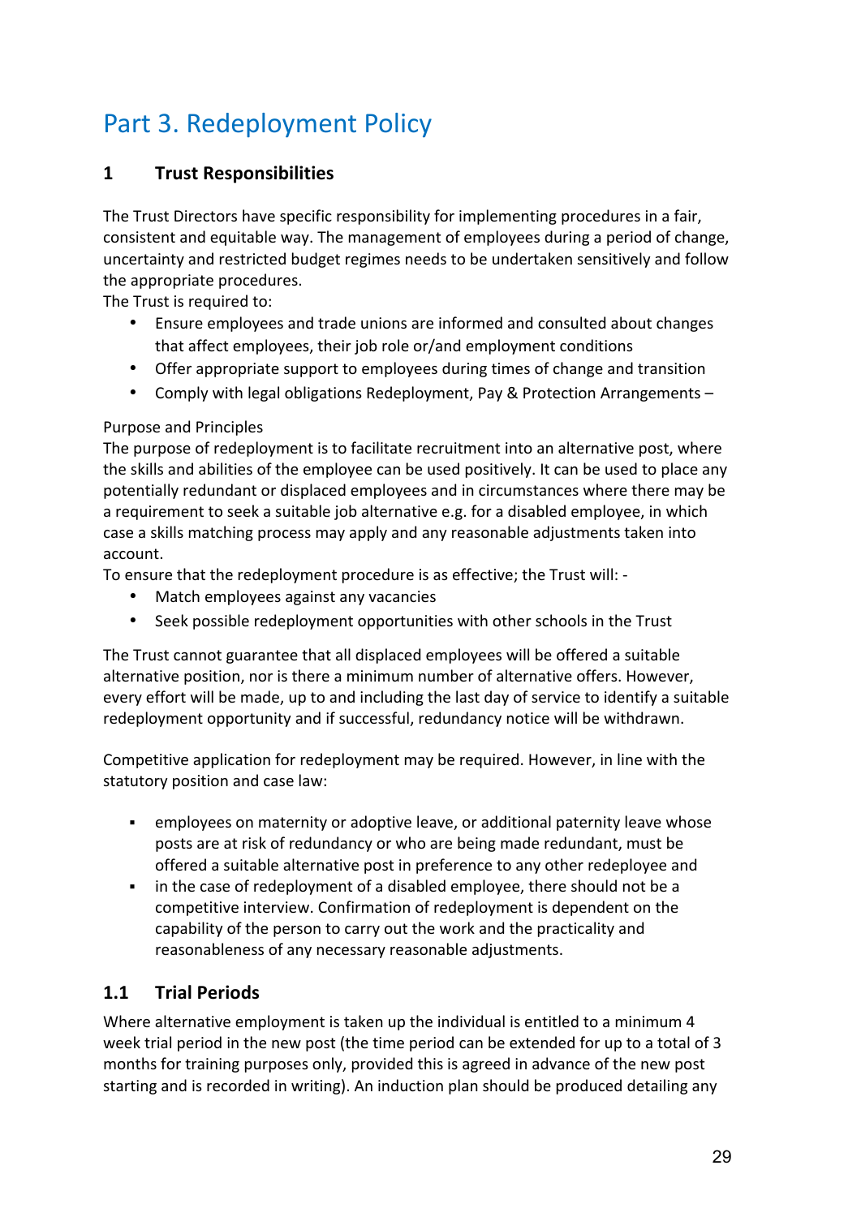## Part 3. Redeployment Policy

## **1** Trust Responsibilities

The Trust Directors have specific responsibility for implementing procedures in a fair, consistent and equitable way. The management of employees during a period of change, uncertainty and restricted budget regimes needs to be undertaken sensitively and follow the appropriate procedures.

The Trust is required to:

- Ensure employees and trade unions are informed and consulted about changes that affect employees, their job role or/and employment conditions
- Offer appropriate support to employees during times of change and transition
- Comply with legal obligations Redeployment, Pay & Protection Arrangements -

#### Purpose and Principles

The purpose of redeployment is to facilitate recruitment into an alternative post, where the skills and abilities of the employee can be used positively. It can be used to place any potentially redundant or displaced employees and in circumstances where there may be a requirement to seek a suitable job alternative e.g. for a disabled employee, in which case a skills matching process may apply and any reasonable adjustments taken into account. 

To ensure that the redeployment procedure is as effective; the Trust will: -

- Match employees against any vacancies
- Seek possible redeployment opportunities with other schools in the Trust

The Trust cannot guarantee that all displaced employees will be offered a suitable alternative position, nor is there a minimum number of alternative offers. However, every effort will be made, up to and including the last day of service to identify a suitable redeployment opportunity and if successful, redundancy notice will be withdrawn.

Competitive application for redeployment may be required. However, in line with the statutory position and case law:

- employees on maternity or adoptive leave, or additional paternity leave whose posts are at risk of redundancy or who are being made redundant, must be offered a suitable alternative post in preference to any other redeployee and
- in the case of redeployment of a disabled employee, there should not be a competitive interview. Confirmation of redeployment is dependent on the capability of the person to carry out the work and the practicality and reasonableness of any necessary reasonable adjustments.

## **1.1 Trial Periods**

Where alternative employment is taken up the individual is entitled to a minimum 4 week trial period in the new post (the time period can be extended for up to a total of 3 months for training purposes only, provided this is agreed in advance of the new post starting and is recorded in writing). An induction plan should be produced detailing any